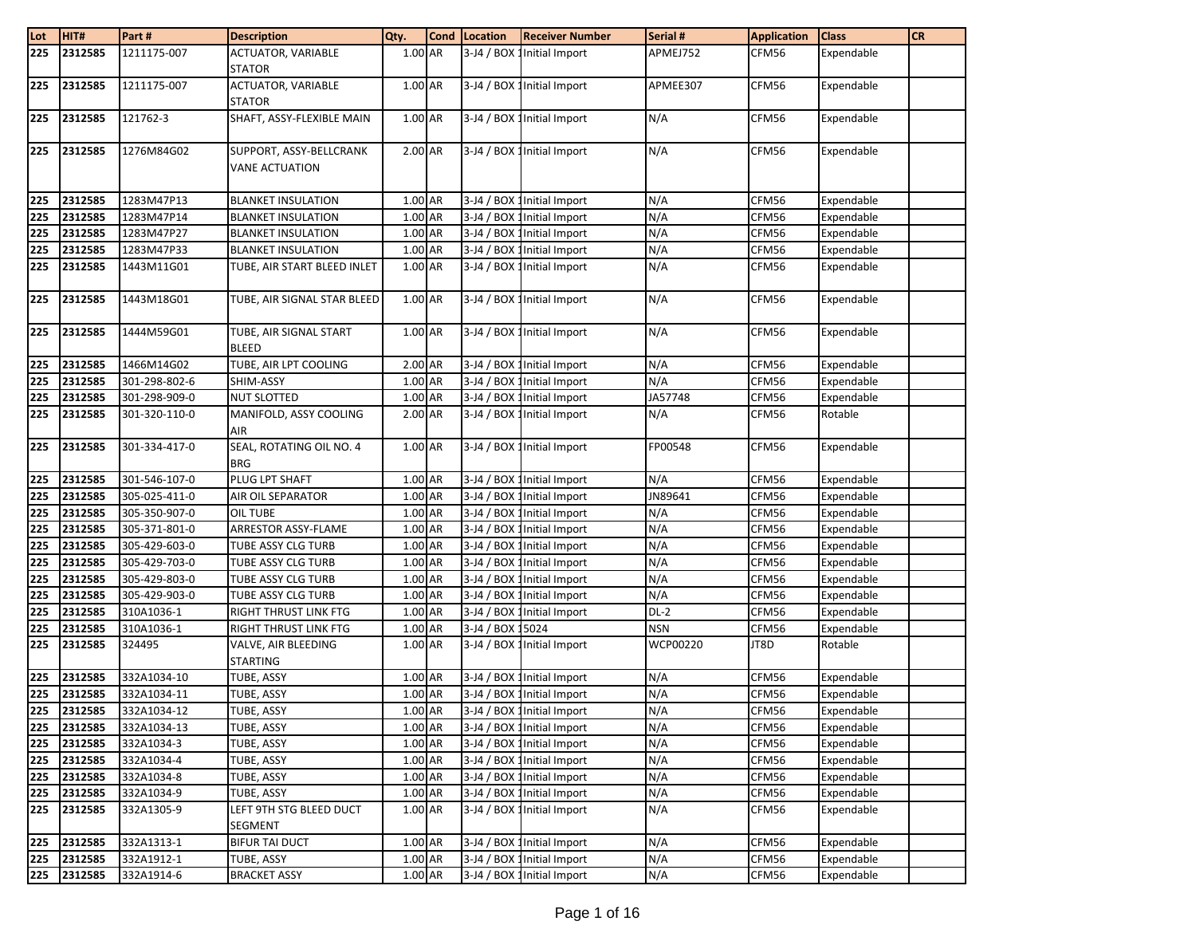| Lot | HIT#    | Part#         | <b>Description</b>          | Qty.                 | <b>Cond</b> Location | <b>Receiver Number</b>      | Serial #   | <b>Application</b> | <b>Class</b> | <b>CR</b> |
|-----|---------|---------------|-----------------------------|----------------------|----------------------|-----------------------------|------------|--------------------|--------------|-----------|
| 225 | 2312585 | 1211175-007   | <b>ACTUATOR, VARIABLE</b>   | 1.00 AR              |                      | 3-J4 / BOX 1 Initial Import | APMEJ752   | CFM56              | Expendable   |           |
|     |         |               | <b>STATOR</b>               |                      |                      |                             |            |                    |              |           |
| 225 | 2312585 | 1211175-007   | <b>ACTUATOR, VARIABLE</b>   | 1.00 AR              |                      | 3-J4 / BOX 1 Initial Import | APMEE307   | CFM56              | Expendable   |           |
|     |         |               | <b>STATOR</b>               |                      |                      |                             |            |                    |              |           |
| 225 | 2312585 | 121762-3      | SHAFT, ASSY-FLEXIBLE MAIN   | 1.00 AR              |                      | 3-J4 / BOX 1 Initial Import | N/A        | CFM56              | Expendable   |           |
|     |         |               |                             |                      |                      |                             |            |                    |              |           |
| 225 | 2312585 | 1276M84G02    | SUPPORT, ASSY-BELLCRANK     | 2.00 AR              |                      | 3-J4 / BOX 1 Initial Import | N/A        | CFM56              | Expendable   |           |
|     |         |               | <b>VANE ACTUATION</b>       |                      |                      |                             |            |                    |              |           |
|     |         |               |                             |                      |                      |                             |            |                    |              |           |
| 225 | 2312585 | 1283M47P13    | <b>BLANKET INSULATION</b>   | 1.00 AR              |                      | 3-J4 / BOX 1 Initial Import | N/A        | CFM56              | Expendable   |           |
| 225 | 2312585 | 1283M47P14    | <b>BLANKET INSULATION</b>   | 1.00 AR              |                      | 3-J4 / BOX 1 Initial Import | N/A        | CFM56              | Expendable   |           |
| 225 | 2312585 | 1283M47P27    | <b>BLANKET INSULATION</b>   | 1.00 AR              |                      | 3-J4 / BOX 1 Initial Import | N/A        | CFM56              | Expendable   |           |
| 225 | 2312585 | 1283M47P33    | <b>BLANKET INSULATION</b>   | 1.00 AR              |                      | 3-J4 / BOX 1 Initial Import | N/A        | CFM56              | Expendable   |           |
| 225 | 2312585 | 1443M11G01    | TUBE, AIR START BLEED INLET | 1.00 AR              |                      | 3-J4 / BOX 1 Initial Import | N/A        | CFM56              | Expendable   |           |
|     |         |               |                             |                      |                      |                             |            |                    |              |           |
| 225 | 2312585 | 1443M18G01    | TUBE, AIR SIGNAL STAR BLEED | 1.00 AR              |                      | 3-J4 / BOX 1 Initial Import | N/A        | CFM56              | Expendable   |           |
|     |         |               |                             |                      |                      |                             |            |                    |              |           |
| 225 | 2312585 | 1444M59G01    | TUBE, AIR SIGNAL START      | 1.00 AR              |                      | 3-J4 / BOX 1 Initial Import | N/A        | CFM56              | Expendable   |           |
|     |         |               | <b>BLEED</b>                |                      |                      |                             |            |                    |              |           |
| 225 | 2312585 | 1466M14G02    | TUBE, AIR LPT COOLING       | 2.00 AR              |                      | 3-J4 / BOX 1 Initial Import | N/A        | CFM56              | Expendable   |           |
| 225 | 2312585 | 301-298-802-6 | SHIM-ASSY                   | $1.00 \overline{AR}$ |                      | 3-J4 / BOX 1 Initial Import | N/A        | CFM56              | Expendable   |           |
| 225 | 2312585 | 301-298-909-0 | <b>NUT SLOTTED</b>          | 1.00 AR              |                      | 3-J4 / BOX 1 Initial Import | JA57748    | CFM56              | Expendable   |           |
| 225 | 2312585 | 301-320-110-0 | MANIFOLD, ASSY COOLING      | 2.00 AR              |                      | 3-J4 / BOX 1 Initial Import | N/A        | CFM56              | Rotable      |           |
|     |         |               | AIR                         |                      |                      |                             |            |                    |              |           |
| 225 | 2312585 | 301-334-417-0 | SEAL, ROTATING OIL NO. 4    | 1.00 AR              |                      | 3-J4 / BOX 1 Initial Import | FP00548    | CFM56              | Expendable   |           |
|     |         |               | <b>BRG</b>                  |                      |                      |                             |            |                    |              |           |
| 225 | 2312585 | 301-546-107-0 | PLUG LPT SHAFT              | 1.00 AR              |                      | 3-J4 / BOX 1 Initial Import | N/A        | CFM56              | Expendable   |           |
| 225 | 2312585 | 305-025-411-0 | AIR OIL SEPARATOR           | 1.00 AR              |                      | 3-J4 / BOX 1Initial Import  | JN89641    | CFM56              | Expendable   |           |
| 225 | 2312585 | 305-350-907-0 | <b>OIL TUBE</b>             | 1.00 AR              |                      | 3-J4 / BOX 1 Initial Import | N/A        | CFM56              | Expendable   |           |
| 225 | 2312585 | 305-371-801-0 | ARRESTOR ASSY-FLAME         | 1.00 AR              | $3-J4/BOX$           | Initial Import              | N/A        | CFM56              | Expendable   |           |
| 225 | 2312585 | 305-429-603-0 | TUBE ASSY CLG TURB          | 1.00 AR              | 3-J4 / BOX           | Initial Import              | N/A        | CFM56              | Expendable   |           |
| 225 | 2312585 | 305-429-703-0 | TUBE ASSY CLG TURB          | 1.00 AR              |                      | 3-J4 / BOX 1 Initial Import | N/A        | CFM56              | Expendable   |           |
| 225 | 2312585 | 305-429-803-0 | TUBE ASSY CLG TURB          | 1.00 AR              |                      | 3-J4 / BOX 1 Initial Import | N/A        | CFM56              | Expendable   |           |
| 225 | 2312585 | 305-429-903-0 | TUBE ASSY CLG TURB          | 1.00 AR              |                      | 3-J4 / BOX 1 Initial Import | N/A        | CFM56              | Expendable   |           |
| 225 | 2312585 | 310A1036-1    | RIGHT THRUST LINK FTG       | 1.00 AR              | 3-J4 / BOX:          | Initial Import              | $DL-2$     | CFM56              | Expendable   |           |
| 225 | 2312585 | 310A1036-1    | RIGHT THRUST LINK FTG       | 1.00 AR              | 3-J4 / BOX           | 5024                        | <b>NSN</b> | CFM56              | Expendable   |           |
| 225 | 2312585 | 324495        | VALVE, AIR BLEEDING         | 1.00 AR              |                      | 3-J4 / BOX 1 Initial Import | WCP00220   | JT8D               | Rotable      |           |
|     |         |               | <b>STARTING</b>             |                      |                      |                             |            |                    |              |           |
| 225 | 2312585 | 332A1034-10   | TUBE, ASSY                  | 1.00 AR              |                      | 3-J4 / BOX 1 Initial Import | N/A        | CFM56              | Expendable   |           |
| 225 | 2312585 | 332A1034-11   | TUBE, ASSY                  | 1.00 AR              |                      | 3-J4 / BOX 1 Initial Import | N/A        | CFM56              | Expendable   |           |
| 225 | 2312585 | 332A1034-12   | TUBE, ASSY                  | 1.00 AR              |                      | 3-J4 / BOX 1 Initial Import | N/A        | CFM56              | Expendable   |           |
| 225 | 2312585 | 332A1034-13   | TUBE, ASSY                  | 1.00 AR              |                      | 3-J4 / BOX 1Initial Import  | N/A        | CFM56              | Expendable   |           |
| 225 | 2312585 | 332A1034-3    | TUBE, ASSY                  | 1.00 AR              |                      | 3-J4 / BOX 1 Initial Import | N/A        | CFM56              | Expendable   |           |
| 225 | 2312585 | 332A1034-4    | TUBE, ASSY                  | 1.00 AR              |                      | 3-J4 / BOX 1 Initial Import | N/A        | CFM56              | Expendable   |           |
| 225 | 2312585 | 332A1034-8    | TUBE, ASSY                  | 1.00 AR              |                      | 3-J4 / BOX 1 Initial Import | N/A        | CFM56              | Expendable   |           |
| 225 | 2312585 | 332A1034-9    | TUBE, ASSY                  | 1.00 AR              |                      | 3-J4 / BOX 1 Initial Import | N/A        | CFM56              | Expendable   |           |
| 225 | 2312585 | 332A1305-9    | LEFT 9TH STG BLEED DUCT     | 1.00 AR              |                      | 3-J4 / BOX 1 Initial Import | N/A        | CFM56              | Expendable   |           |
|     |         |               | SEGMENT                     |                      |                      |                             |            |                    |              |           |
| 225 | 2312585 | 332A1313-1    | <b>BIFUR TAI DUCT</b>       | 1.00 AR              |                      | 3-J4 / BOX 1 Initial Import | N/A        | CFM56              | Expendable   |           |
| 225 | 2312585 | 332A1912-1    | TUBE, ASSY                  | 1.00 AR              |                      | 3-J4 / BOX 1Initial Import  | N/A        | CFM56              | Expendable   |           |
| 225 | 2312585 | 332A1914-6    | <b>BRACKET ASSY</b>         | 1.00 AR              |                      | 3-J4 / BOX 1 Initial Import | N/A        | CFM56              | Expendable   |           |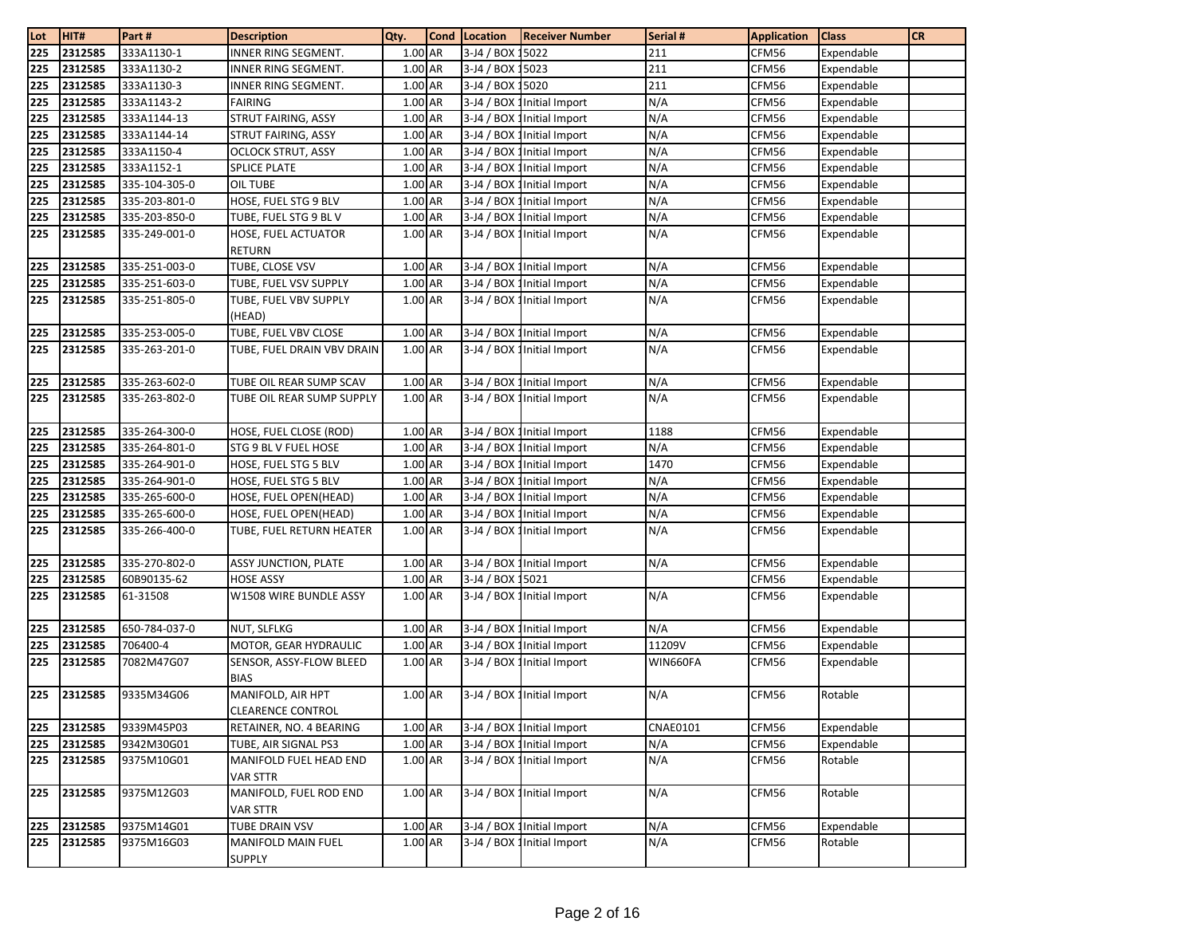| Lot | HIT#    | Part#         | <b>Description</b>                            | Qty.    | <b>Cond</b> | Location         | <b>Receiver Number</b>      | Serial # | <b>Application</b> | <b>Class</b> | <b>CR</b> |
|-----|---------|---------------|-----------------------------------------------|---------|-------------|------------------|-----------------------------|----------|--------------------|--------------|-----------|
| 225 | 2312585 | 333A1130-1    | INNER RING SEGMENT.                           | 1.00 AR |             | 3-J4 / BOX 15022 |                             | 211      | CFM56              | Expendable   |           |
| 225 | 2312585 | 333A1130-2    | INNER RING SEGMENT.                           | 1.00 AR |             | 3-J4 / BOX 15023 |                             | 211      | CFM56              | Expendable   |           |
| 225 | 2312585 | 333A1130-3    | INNER RING SEGMENT.                           | 1.00 AR |             | 3-J4 / BOX 15020 |                             | 211      | CFM56              | Expendable   |           |
| 225 | 2312585 | 333A1143-2    | <b>FAIRING</b>                                | 1.00 AR |             |                  | 3-J4 / BOX 1 Initial Import | N/A      | CFM56              | Expendable   |           |
| 225 | 2312585 | 333A1144-13   | STRUT FAIRING, ASSY                           | 1.00 AR |             |                  | 3-J4 / BOX 1 Initial Import | N/A      | CFM56              | Expendable   |           |
| 225 | 2312585 | 333A1144-14   | STRUT FAIRING, ASSY                           | 1.00 AR |             |                  | 3-J4 / BOX 1 Initial Import | N/A      | CFM56              | Expendable   |           |
| 225 | 2312585 | 333A1150-4    | <b>OCLOCK STRUT, ASSY</b>                     | 1.00 AR |             |                  | 3-J4 / BOX 1 Initial Import | N/A      | CFM56              | Expendable   |           |
| 225 | 2312585 | 333A1152-1    | <b>SPLICE PLATE</b>                           | 1.00 AR |             |                  | 3-J4 / BOX 1 Initial Import | N/A      | CFM56              | Expendable   |           |
| 225 | 2312585 | 335-104-305-0 | OIL TUBE                                      | 1.00 AR |             |                  | 3-J4 / BOX 1 Initial Import | N/A      | CFM56              | Expendable   |           |
| 225 | 2312585 | 335-203-801-0 | HOSE, FUEL STG 9 BLV                          | 1.00 AR |             |                  | 3-J4 / BOX 1 Initial Import | N/A      | CFM56              | Expendable   |           |
| 225 | 2312585 | 335-203-850-0 | TUBE, FUEL STG 9 BL V                         | 1.00 AR |             |                  | 3-J4 / BOX 1 Initial Import | N/A      | CFM56              | Expendable   |           |
| 225 | 2312585 | 335-249-001-0 | HOSE, FUEL ACTUATOR<br><b>RETURN</b>          | 1.00 AR |             |                  | 3-J4 / BOX 1 Initial Import | N/A      | CFM56              | Expendable   |           |
| 225 | 2312585 | 335-251-003-0 | TUBE, CLOSE VSV                               | 1.00 AR |             |                  | 3-J4 / BOX 1 Initial Import | N/A      | CFM56              | Expendable   |           |
| 225 | 2312585 | 335-251-603-0 | TUBE, FUEL VSV SUPPLY                         | 1.00 AR |             |                  | 3-J4 / BOX 1 Initial Import | N/A      | CFM56              | Expendable   |           |
| 225 | 2312585 | 335-251-805-0 | TUBE, FUEL VBV SUPPLY                         | 1.00 AR |             |                  | 3-J4 / BOX 1 Initial Import | N/A      | CFM56              | Expendable   |           |
|     |         |               | (HEAD)                                        |         |             |                  |                             |          |                    |              |           |
| 225 | 2312585 | 335-253-005-0 | TUBE, FUEL VBV CLOSE                          | 1.00 AR |             |                  | 3-J4 / BOX 1 Initial Import | N/A      | CFM56              | Expendable   |           |
| 225 | 2312585 | 335-263-201-0 | TUBE, FUEL DRAIN VBV DRAIN                    | 1.00 AR |             |                  | 3-J4 / BOX 1 Initial Import | N/A      | CFM56              | Expendable   |           |
| 225 | 2312585 | 335-263-602-0 | TUBE OIL REAR SUMP SCAV                       | 1.00 AR |             |                  | 3-J4 / BOX 1 Initial Import | N/A      | CFM56              | Expendable   |           |
| 225 | 2312585 | 335-263-802-0 | TUBE OIL REAR SUMP SUPPLY                     | 1.00 AR |             |                  | 3-J4 / BOX 1 Initial Import | N/A      | CFM56              | Expendable   |           |
| 225 | 2312585 | 335-264-300-0 | HOSE, FUEL CLOSE (ROD)                        | 1.00 AR |             |                  | 3-J4 / BOX 1Initial Import  | 1188     | CFM56              | Expendable   |           |
| 225 | 2312585 | 335-264-801-0 | STG 9 BL V FUEL HOSE                          | 1.00 AR |             |                  | 3-J4 / BOX 1 Initial Import | N/A      | CFM56              | Expendable   |           |
| 225 | 2312585 | 335-264-901-0 | HOSE, FUEL STG 5 BLV                          | 1.00 AR |             |                  | 3-J4 / BOX 1 Initial Import | 1470     | CFM56              | Expendable   |           |
| 225 | 2312585 | 335-264-901-0 | HOSE, FUEL STG 5 BLV                          | 1.00 AR |             |                  | 3-J4 / BOX 1 Initial Import | N/A      | CFM56              | Expendable   |           |
| 225 | 2312585 | 335-265-600-0 | HOSE, FUEL OPEN(HEAD)                         | 1.00 AR |             |                  | 3-J4 / BOX 1 Initial Import | N/A      | CFM56              | Expendable   |           |
| 225 | 2312585 | 335-265-600-0 | HOSE, FUEL OPEN(HEAD)                         | 1.00 AR |             |                  | 3-J4 / BOX 1 Initial Import | N/A      | CFM56              | Expendable   |           |
| 225 | 2312585 | 335-266-400-0 | TUBE, FUEL RETURN HEATER                      | 1.00 AR |             |                  | 3-J4 / BOX 1 Initial Import | N/A      | CFM56              | Expendable   |           |
| 225 | 2312585 | 335-270-802-0 | <b>ASSY JUNCTION, PLATE</b>                   | 1.00 AR |             |                  | 3-J4 / BOX 1 Initial Import | N/A      | CFM56              | Expendable   |           |
| 225 | 2312585 | 60B90135-62   | <b>HOSE ASSY</b>                              | 1.00 AR |             | 3-J4 / BOX 15021 |                             |          | CFM56              | Expendable   |           |
| 225 | 2312585 | 61-31508      | W1508 WIRE BUNDLE ASSY                        | 1.00 AR |             |                  | 3-J4 / BOX 1 Initial Import | N/A      | CFM56              | Expendable   |           |
| 225 | 2312585 | 650-784-037-0 | NUT, SLFLKG                                   | 1.00 AR |             |                  | 3-J4 / BOX 1 Initial Import | N/A      | CFM56              | Expendable   |           |
| 225 | 2312585 | 706400-4      | MOTOR, GEAR HYDRAULIC                         | 1.00 AR |             |                  | 3-J4 / BOX 1 Initial Import | 11209V   | CFM56              | Expendable   |           |
| 225 | 2312585 | 7082M47G07    | SENSOR, ASSY-FLOW BLEED<br><b>BIAS</b>        | 1.00 AR |             |                  | 3-J4 / BOX 1 Initial Import | WIN660FA | CFM56              | Expendable   |           |
| 225 | 2312585 | 9335M34G06    | MANIFOLD, AIR HPT<br><b>CLEARENCE CONTROL</b> | 1.00 AR |             |                  | 3-J4 / BOX 1 Initial Import | N/A      | CFM56              | Rotable      |           |
| 225 | 2312585 | 9339M45P03    | RETAINER, NO. 4 BEARING                       | 1.00 AR |             |                  | 3-J4 / BOX 1 Initial Import | CNAE0101 | CFM56              | Expendable   |           |
| 225 | 2312585 | 9342M30G01    | TUBE, AIR SIGNAL PS3                          | 1.00 AR |             |                  | 3-J4 / BOX 1 Initial Import | N/A      | CFM56              | Expendable   |           |
| 225 | 2312585 | 9375M10G01    | MANIFOLD FUEL HEAD END<br>VAR STTR            | 1.00 AR |             |                  | 3-J4 / BOX 1 Initial Import | N/A      | CFM56              | Rotable      |           |
| 225 | 2312585 | 9375M12G03    | MANIFOLD, FUEL ROD END<br><b>VAR STTR</b>     | 1.00 AR |             |                  | 3-J4 / BOX 1 Initial Import | N/A      | CFM56              | Rotable      |           |
| 225 | 2312585 | 9375M14G01    | TUBE DRAIN VSV                                | 1.00 AR |             |                  | 3-J4 / BOX 1 Initial Import | N/A      | CFM56              | Expendable   |           |
| 225 | 2312585 | 9375M16G03    | <b>MANIFOLD MAIN FUEL</b><br><b>SUPPLY</b>    | 1.00 AR |             |                  | 3-J4 / BOX 1 Initial Import | N/A      | CFM56              | Rotable      |           |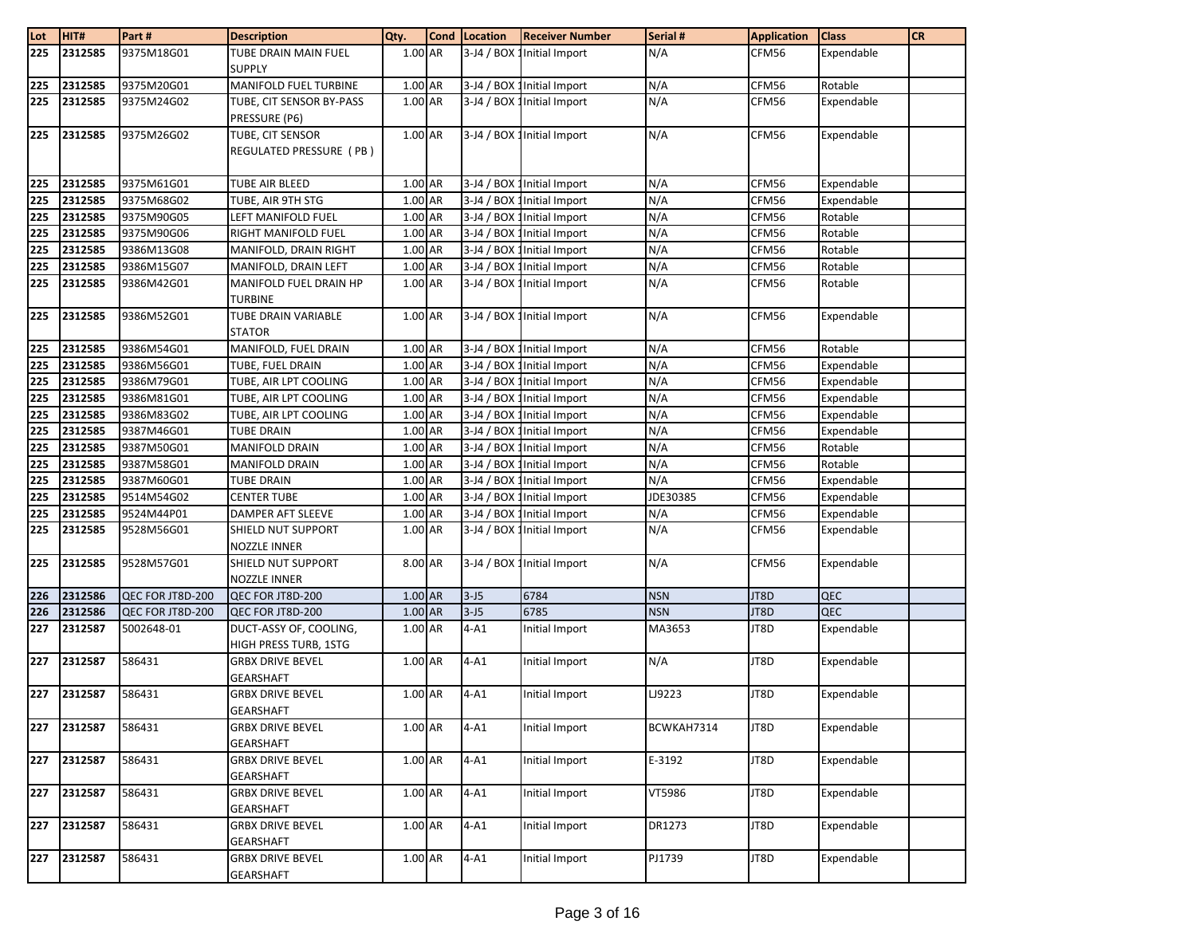| Lot        | HIT#               | Part #                   | <b>Description</b>                               | Qty.               | <b>Cond</b> | Location | <b>Receiver Number</b>                                     | Serial #   | <b>Application</b> | <b>Class</b>             | <b>CR</b> |
|------------|--------------------|--------------------------|--------------------------------------------------|--------------------|-------------|----------|------------------------------------------------------------|------------|--------------------|--------------------------|-----------|
| 225        | 2312585            | 9375M18G01               | <b>TUBE DRAIN MAIN FUEL</b>                      | 1.00 AR            |             |          | 3-J4 / BOX 1 Initial Import                                | N/A        | CFM56              | Expendable               |           |
|            |                    |                          | <b>SUPPLY</b>                                    |                    |             |          |                                                            |            |                    |                          |           |
| 225        | 2312585            | 9375M20G01               | MANIFOLD FUEL TURBINE                            | 1.00 AR            |             |          | 3-J4 / BOX 1 Initial Import                                | N/A        | CFM56              | Rotable                  |           |
| 225        | 2312585            | 9375M24G02               | TUBE, CIT SENSOR BY-PASS                         | 1.00 AR            |             |          | 3-J4 / BOX 1 Initial Import                                | N/A        | CFM56              | Expendable               |           |
|            |                    |                          | PRESSURE (P6)                                    |                    |             |          |                                                            |            |                    |                          |           |
| 225        | 2312585            | 9375M26G02               | TUBE, CIT SENSOR                                 | 1.00 AR            |             |          | 3-J4 / BOX 1 Initial Import                                | N/A        | CFM56              | Expendable               |           |
|            |                    |                          | REGULATED PRESSURE (PB)                          |                    |             |          |                                                            |            |                    |                          |           |
|            |                    |                          |                                                  |                    |             |          |                                                            |            |                    |                          |           |
| 225        | 2312585<br>2312585 | 9375M61G01<br>9375M68G02 | TUBE AIR BLEED                                   | 1.00 AR<br>1.00 AR |             |          | 3-J4 / BOX 1 Initial Import                                | N/A<br>N/A | CFM56              | Expendable<br>Expendable |           |
| 225<br>225 | 2312585            |                          | TUBE, AIR 9TH STG                                | 1.00 AR            |             |          | 3-J4 / BOX 1 Initial Import                                | N/A        | CFM56              |                          |           |
| 225        | 2312585            | 9375M90G05<br>9375M90G06 | LEFT MANIFOLD FUEL<br>RIGHT MANIFOLD FUEL        | 1.00 AR            |             |          | 3-J4 / BOX 1 Initial Import<br>3-J4 / BOX 1 Initial Import | N/A        | CFM56<br>CFM56     | Rotable<br>Rotable       |           |
|            | 2312585            | 9386M13G08               | MANIFOLD, DRAIN RIGHT                            | 1.00 AR            |             |          | 3-J4 / BOX 1 Initial Import                                | N/A        | CFM56              | Rotable                  |           |
| 225<br>225 | 2312585            | 9386M15G07               | MANIFOLD, DRAIN LEFT                             | 1.00 AR            |             |          | 3-J4 / BOX 1 Initial Import                                | N/A        | CFM56              | Rotable                  |           |
| 225        | 2312585            | 9386M42G01               | MANIFOLD FUEL DRAIN HP                           | 1.00 AR            |             |          | 3-J4 / BOX 1 Initial Import                                | N/A        | CFM56              | Rotable                  |           |
|            |                    |                          | <b>TURBINE</b>                                   |                    |             |          |                                                            |            |                    |                          |           |
| 225        | 2312585            | 9386M52G01               | TUBE DRAIN VARIABLE                              | 1.00 AR            |             |          | 3-J4 / BOX 1 Initial Import                                | N/A        | CFM56              | Expendable               |           |
|            |                    |                          | <b>STATOR</b>                                    |                    |             |          |                                                            |            |                    |                          |           |
| 225        | 2312585            | 9386M54G01               | MANIFOLD, FUEL DRAIN                             | 1.00 AR            |             |          | 3-J4 / BOX 1 Initial Import                                | N/A        | CFM56              | Rotable                  |           |
| 225        | 2312585            | 9386M56G01               | TUBE, FUEL DRAIN                                 | 1.00 AR            |             |          | 3-J4 / BOX 1 Initial Import                                | N/A        | CFM56              | Expendable               |           |
| 225        | 2312585            | 9386M79G01               | TUBE, AIR LPT COOLING                            | 1.00 AR            |             |          | 3-J4 / BOX 1 Initial Import                                | N/A        | CFM56              | Expendable               |           |
| 225        | 2312585            | 9386M81G01               | TUBE, AIR LPT COOLING                            | 1.00 AR            |             |          | 3-J4 / BOX 1 Initial Import                                | N/A        | CFM56              | Expendable               |           |
| 225        | 2312585            | 9386M83G02               | TUBE, AIR LPT COOLING                            | 1.00 AR            |             |          | 3-J4 / BOX 1 Initial Import                                | N/A        | CFM56              | Expendable               |           |
| 225        | 2312585            | 9387M46G01               | <b>TUBE DRAIN</b>                                | 1.00 AR            |             |          | 3-J4 / BOX 1 Initial Import                                | N/A        | CFM56              | Expendable               |           |
| 225        | 2312585            | 9387M50G01               | <b>MANIFOLD DRAIN</b>                            | 1.00 AR            |             |          | 3-J4 / BOX 1 Initial Import                                | N/A        | CFM56              | Rotable                  |           |
| 225        | 2312585            | 9387M58G01               | <b>MANIFOLD DRAIN</b>                            | 1.00 AR            |             |          | 3-J4 / BOX 1 Initial Import                                | N/A        | CFM56              | Rotable                  |           |
| 225        | 2312585            | 9387M60G01               | <b>TUBE DRAIN</b>                                | 1.00 AR            |             |          | 3-J4 / BOX 1 Initial Import                                | N/A        | CFM56              | Expendable               |           |
| 225        | 2312585            | 9514M54G02               | <b>CENTER TUBE</b>                               | 1.00 AR            |             |          | 3-J4 / BOX 1 Initial Import                                | JDE30385   | CFM56              | Expendable               |           |
| 225        | 2312585            | 9524M44P01               | DAMPER AFT SLEEVE                                | 1.00 AR            |             |          | 3-J4 / BOX 1 Initial Import                                | N/A        | CFM56              | Expendable               |           |
| 225        | 2312585            | 9528M56G01               | SHIELD NUT SUPPORT                               | 1.00 AR            |             |          | 3-J4 / BOX 1 Initial Import                                | N/A        | CFM56              | Expendable               |           |
|            |                    |                          | NOZZLE INNER                                     |                    |             |          |                                                            |            |                    |                          |           |
| 225        | 2312585            | 9528M57G01               | SHIELD NUT SUPPORT                               | 8.00 AR            |             |          | 3-J4 / BOX 1 Initial Import                                | N/A        | CFM56              | Expendable               |           |
|            |                    |                          | NOZZLE INNER                                     |                    |             |          |                                                            |            |                    |                          |           |
| 226        | 2312586            | QEC FOR JT8D-200         | QEC FOR JT8D-200                                 | 1.00 AR            |             | $3 - J5$ | 6784                                                       | <b>NSN</b> | JT8D               | QEC                      |           |
| 226        | 2312586            | QEC FOR JT8D-200         | QEC FOR JT8D-200                                 | 1.00 AR            |             | $3 - J5$ | 6785                                                       | <b>NSN</b> | JT8D               | <b>QEC</b>               |           |
| 227        | 2312587            | 5002648-01               | DUCT-ASSY OF, COOLING,                           | 1.00 AR            |             | $4-A1$   | Initial Import                                             | MA3653     | JT8D               | Expendable               |           |
|            |                    | 586431                   | HIGH PRESS TURB, 1STG<br><b>GRBX DRIVE BEVEL</b> | 1.00 AR            |             | $4-A1$   |                                                            | N/A        | JT8D               |                          |           |
| 227        | 2312587            |                          | GEARSHAFT                                        |                    |             |          | Initial Import                                             |            |                    | Expendable               |           |
|            | 227 2312587        | 586431                   | <b>GRBX DRIVE BEVEL</b>                          | 1.00 AR            |             | $4-A1$   | Initial Import                                             | LJ9223     | JT8D               | Expendable               |           |
|            |                    |                          | <b>GEARSHAFT</b>                                 |                    |             |          |                                                            |            |                    |                          |           |
| 227        | 2312587            | 586431                   | <b>GRBX DRIVE BEVEL</b>                          | 1.00 AR            |             | $4-A1$   | Initial Import                                             | BCWKAH7314 | JT8D               | Expendable               |           |
|            |                    |                          | GEARSHAFT                                        |                    |             |          |                                                            |            |                    |                          |           |
| 227        | 2312587            | 586431                   | <b>GRBX DRIVE BEVEL</b>                          | 1.00 AR            |             | $4 - A1$ | Initial Import                                             | E-3192     | JT8D               | Expendable               |           |
|            |                    |                          | GEARSHAFT                                        |                    |             |          |                                                            |            |                    |                          |           |
| 227        | 2312587            | 586431                   | <b>GRBX DRIVE BEVEL</b>                          | 1.00 AR            |             | $4-A1$   | Initial Import                                             | VT5986     | JT8D               | Expendable               |           |
|            |                    |                          | GEARSHAFT                                        |                    |             |          |                                                            |            |                    |                          |           |
| 227        | 2312587            | 586431                   | <b>GRBX DRIVE BEVEL</b>                          | 1.00 AR            |             | $4-A1$   | Initial Import                                             | DR1273     | JT8D               | Expendable               |           |
|            |                    |                          | <b>GEARSHAFT</b>                                 |                    |             |          |                                                            |            |                    |                          |           |
| 227        | 2312587            | 586431                   | <b>GRBX DRIVE BEVEL</b>                          | 1.00 AR            |             | $4-A1$   | Initial Import                                             | PJ1739     | JT8D               | Expendable               |           |
|            |                    |                          | <b>GEARSHAFT</b>                                 |                    |             |          |                                                            |            |                    |                          |           |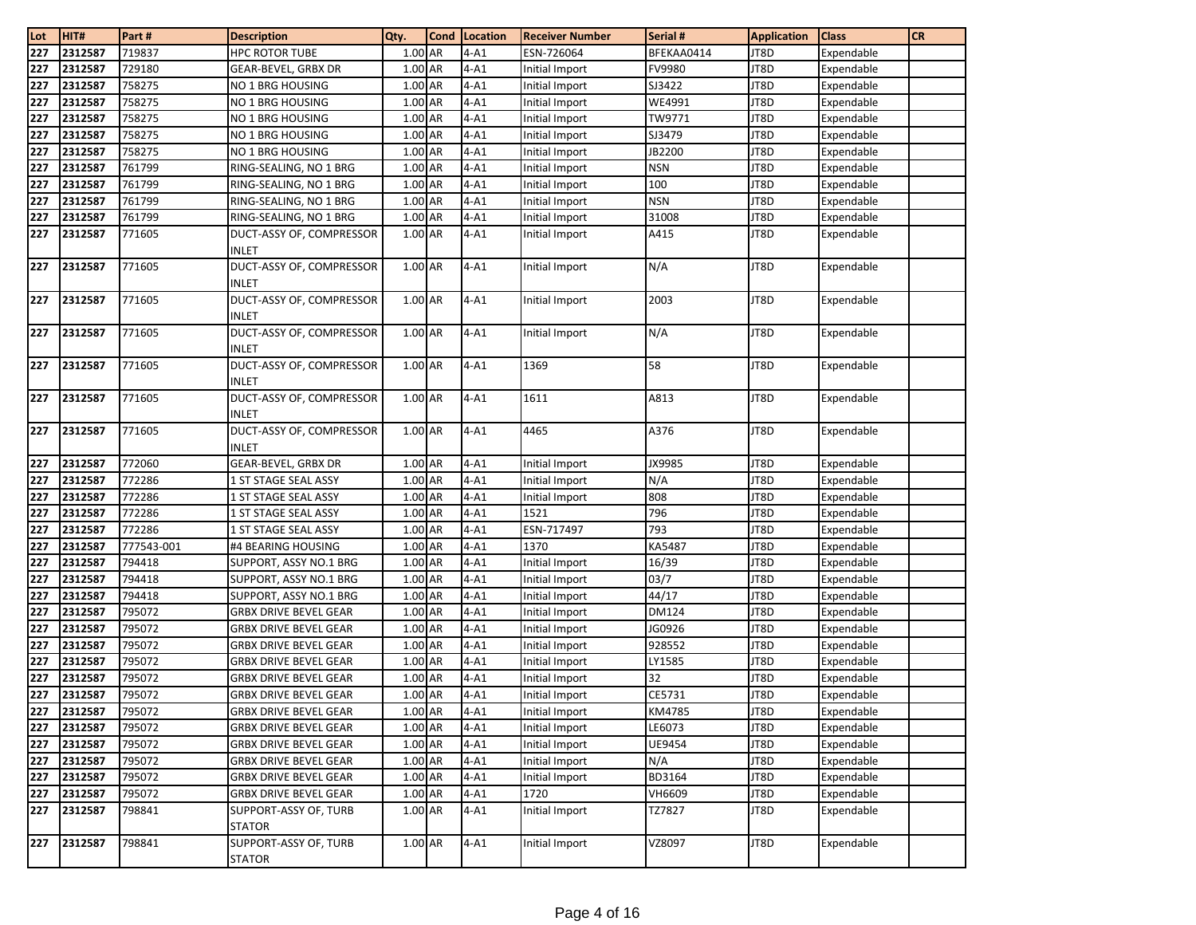| Lot | HIT#    | Part#      | <b>Description</b>                       | Qty.                 | <b>Cond</b> | Location | <b>Receiver Number</b> | Serial #      | <b>Application</b> | <b>Class</b> | <b>CR</b> |
|-----|---------|------------|------------------------------------------|----------------------|-------------|----------|------------------------|---------------|--------------------|--------------|-----------|
| 227 | 2312587 | 719837     | <b>HPC ROTOR TUBE</b>                    | 1.00 AR              |             | $4 - A1$ | ESN-726064             | BFEKAA0414    | JT8D               | Expendable   |           |
| 227 | 2312587 | 729180     | GEAR-BEVEL, GRBX DR                      | 1.00 AR              |             | $4-A1$   | Initial Import         | FV9980        | JT8D               | Expendable   |           |
| 227 | 2312587 | 758275     | NO 1 BRG HOUSING                         | 1.00 AR              |             | $4 - A1$ | Initial Import         | SJ3422        | JT8D               | Expendable   |           |
| 227 | 2312587 | 758275     | NO 1 BRG HOUSING                         | 1.00 AR              |             | $4-A1$   | Initial Import         | WE4991        | JT8D               | Expendable   |           |
| 227 | 2312587 | 758275     | NO 1 BRG HOUSING                         | 1.00 AR              |             | $4-A1$   | Initial Import         | TW9771        | JT8D               | Expendable   |           |
| 227 | 2312587 | 758275     | NO 1 BRG HOUSING                         | 1.00 AR              |             | $4-A1$   | Initial Import         | SJ3479        | JT8D               | Expendable   |           |
| 227 | 2312587 | 758275     | NO 1 BRG HOUSING                         | 1.00 AR              |             | $4-A1$   | Initial Import         | JB2200        | JT8D               | Expendable   |           |
| 227 | 2312587 | 761799     | RING-SEALING, NO 1 BRG                   | 1.00 AR              |             | $4 - A1$ | Initial Import         | <b>NSN</b>    | JT8D               | Expendable   |           |
| 227 | 2312587 | 761799     | RING-SEALING, NO 1 BRG                   | 1.00 AR              |             | $4 - A1$ | Initial Import         | 100           | JT8D               | Expendable   |           |
| 227 | 2312587 | 761799     | RING-SEALING, NO 1 BRG                   | 1.00 AR              |             | $4-A1$   | Initial Import         | <b>NSN</b>    | JT8D               | Expendable   |           |
| 227 | 2312587 | 761799     | RING-SEALING, NO 1 BRG                   | 1.00 AR              |             | $4-A1$   | Initial Import         | 31008         | JT8D               | Expendable   |           |
| 227 | 2312587 | 771605     | DUCT-ASSY OF, COMPRESSOR                 | 1.00 AR              |             | $4-A1$   | Initial Import         | A415          | JT8D               | Expendable   |           |
|     |         |            | <b>INLET</b>                             |                      |             |          |                        |               |                    |              |           |
| 227 | 2312587 | 771605     | DUCT-ASSY OF, COMPRESSOR                 | 1.00 AR              |             | $4-A1$   | Initial Import         | N/A           | JT8D               | Expendable   |           |
|     |         |            | <b>INLET</b>                             |                      |             |          |                        |               |                    |              |           |
| 227 | 2312587 | 771605     | DUCT-ASSY OF, COMPRESSOR                 | 1.00 AR              |             | $4-A1$   | Initial Import         | 2003          | JT8D               | Expendable   |           |
|     |         |            | <b>INLET</b>                             |                      |             |          |                        |               |                    |              |           |
| 227 | 2312587 | 771605     | DUCT-ASSY OF, COMPRESSOR                 | 1.00 AR              |             | $4-A1$   | Initial Import         | N/A           | JT8D               | Expendable   |           |
|     |         |            | <b>INLET</b>                             |                      |             |          |                        |               |                    |              |           |
| 227 | 2312587 | 771605     | DUCT-ASSY OF, COMPRESSOR                 | 1.00 AR              |             | $4-A1$   | 1369                   | 58            | JT8D               | Expendable   |           |
|     |         |            | INLET                                    |                      |             |          |                        |               |                    |              |           |
| 227 | 2312587 | 771605     | DUCT-ASSY OF, COMPRESSOR                 | 1.00 AR              |             | $4-A1$   | 1611                   | A813          | JT8D               | Expendable   |           |
|     | 2312587 | 771605     | <b>INLET</b><br>DUCT-ASSY OF, COMPRESSOR | 1.00 AR              |             | $4-A1$   | 4465                   | A376          | JT8D               |              |           |
| 227 |         |            | <b>INLET</b>                             |                      |             |          |                        |               |                    | Expendable   |           |
| 227 | 2312587 | 772060     | GEAR-BEVEL, GRBX DR                      | 1.00 AR              |             | $4-A1$   | Initial Import         | JX9985        | JT8D               | Expendable   |           |
| 227 | 2312587 | 772286     | 1 ST STAGE SEAL ASSY                     | 1.00 AR              |             | $4-A1$   | Initial Import         | N/A           | JT8D               | Expendable   |           |
| 227 | 2312587 | 772286     | 1 ST STAGE SEAL ASSY                     | 1.00 AR              |             | $4-A1$   | Initial Import         | 808           | JT8D               | Expendable   |           |
| 227 | 2312587 | 772286     | 1 ST STAGE SEAL ASSY                     | 1.00 AR              |             | $4-A1$   | 1521                   | 796           | JT8D               | Expendable   |           |
| 227 | 2312587 | 772286     | 1 ST STAGE SEAL ASSY                     | 1.00 AR              |             | $4-A1$   | ESN-717497             | 793           | JT8D               | Expendable   |           |
| 227 | 2312587 | 777543-001 | #4 BEARING HOUSING                       | 1.00 AR              |             | $4-A1$   | 1370                   | <b>KA5487</b> | JT8D               | Expendable   |           |
| 227 | 2312587 | 794418     | SUPPORT, ASSY NO.1 BRG                   | 1.00 AR              |             | $4-A1$   | Initial Import         | 16/39         | JT8D               | Expendable   |           |
| 227 | 2312587 | 794418     | SUPPORT, ASSY NO.1 BRG                   | 1.00 AR              |             | $4-A1$   | Initial Import         | 03/7          | JT8D               | Expendable   |           |
| 227 | 2312587 | 794418     | SUPPORT, ASSY NO.1 BRG                   | 1.00 AR              |             | $4-A1$   | Initial Import         | 44/17         | JT8D               | Expendable   |           |
| 227 | 2312587 | 795072     | <b>GRBX DRIVE BEVEL GEAR</b>             | 1.00 AR              |             | $4 - A1$ | Initial Import         | <b>DM124</b>  | JT8D               | Expendable   |           |
| 227 | 2312587 | 795072     | <b>GRBX DRIVE BEVEL GEAR</b>             | 1.00 AR              |             | $4-A1$   | Initial Import         | JG0926        | JT8D               | Expendable   |           |
| 227 | 2312587 | 795072     | GRBX DRIVE BEVEL GEAR                    | 1.00 AR              |             | $4-A1$   | Initial Import         | 928552        | JT8D               | Expendable   |           |
| 227 | 2312587 | 795072     | <b>GRBX DRIVE BEVEL GEAR</b>             | 1.00 AR              |             | $4-A1$   | Initial Import         | LY1585        | JT8D               | Expendable   |           |
| 227 | 2312587 | 795072     | GRBX DRIVE BEVEL GEAR                    | 1.00 AR              |             | $4-A1$   | Initial Import         | 32            | JT8D               | Expendable   |           |
| 227 | 2312587 | 795072     | <b>GRBX DRIVE BEVEL GEAR</b>             | 1.00 AR              |             | $4-A1$   | Initial Import         | CE5731        | JT8D               | Expendable   |           |
| 227 | 2312587 | 795072     | <b>GRBX DRIVE BEVEL GEAR</b>             | 1.00 AR              |             | $4-A1$   | Initial Import         | KM4785        | JT8D               | Expendable   |           |
| 227 | 2312587 | 795072     | <b>GRBX DRIVE BEVEL GEAR</b>             | 1.00 AR              |             | $4 - A1$ | Initial Import         | LE6073        | JT8D               | Expendable   |           |
| 227 | 2312587 | 795072     | <b>GRBX DRIVE BEVEL GEAR</b>             | 1.00 AR              |             | $4 - A1$ | Initial Import         | UE9454        | JT8D               | Expendable   |           |
| 227 | 2312587 | 795072     | <b>GRBX DRIVE BEVEL GEAR</b>             | $1.00\; \mathsf{AR}$ |             | $4-A1$   | Initial Import         | N/A           | JT8D               | Expendable   |           |
| 227 | 2312587 | 795072     | GRBX DRIVE BEVEL GEAR                    | 1.00 AR              |             | $4 - A1$ | Initial Import         | BD3164        | JT8D               | Expendable   |           |
| 227 | 2312587 | 795072     | <b>GRBX DRIVE BEVEL GEAR</b>             | 1.00 AR              |             | $4-A1$   | 1720                   | VH6609        | JT8D               | Expendable   |           |
| 227 | 2312587 | 798841     | SUPPORT-ASSY OF, TURB<br><b>STATOR</b>   | $1.00\; \mathsf{AR}$ |             | $4-A1$   | Initial Import         | TZ7827        | JT8D               | Expendable   |           |
| 227 | 2312587 | 798841     | SUPPORT-ASSY OF, TURB                    | 1.00 AR              |             | $4-A1$   | Initial Import         | VZ8097        | JT8D               | Expendable   |           |
|     |         |            | <b>STATOR</b>                            |                      |             |          |                        |               |                    |              |           |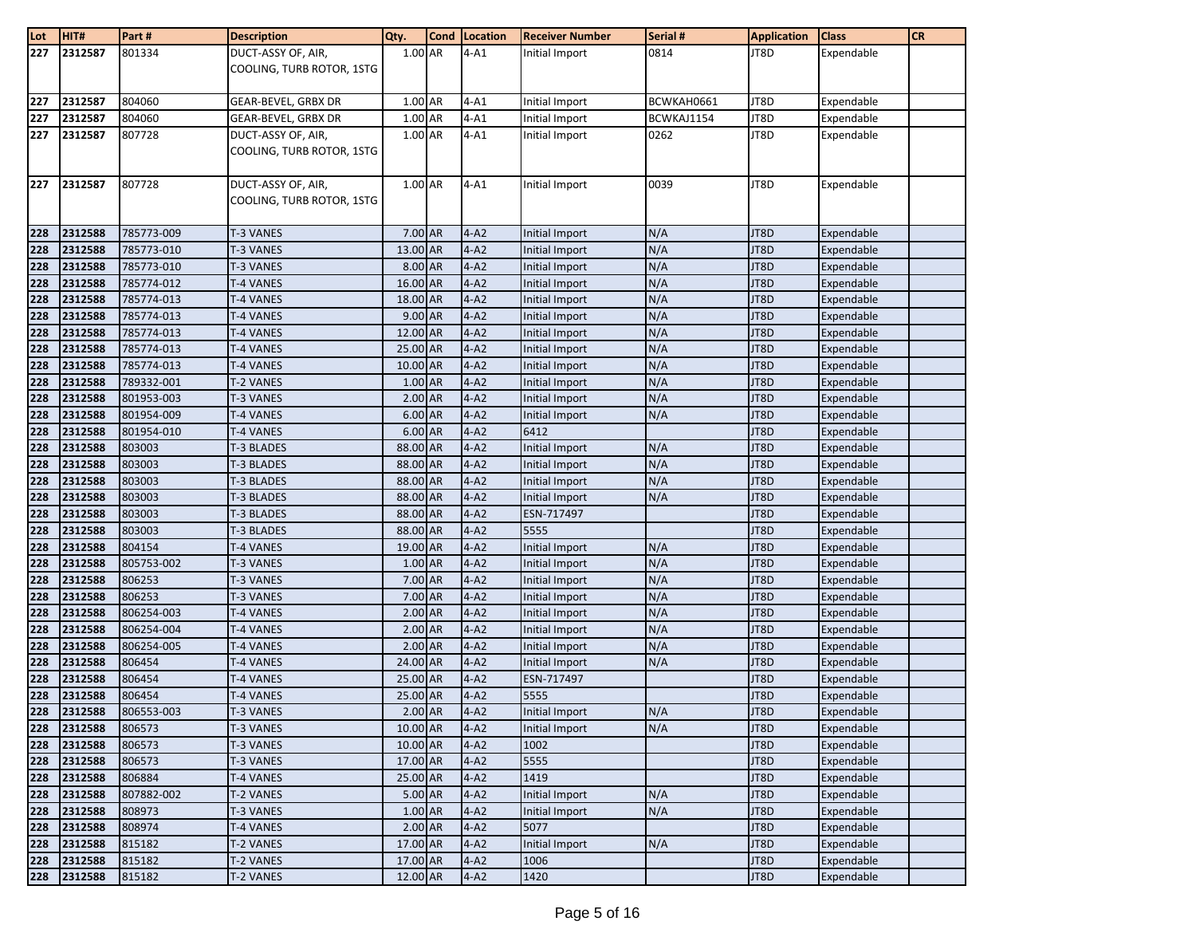| Lot        | HIT#               | Part#            | <b>Description</b>        | Qty.               | Cond Location      | <b>Receiver Number</b>           | Serial #   | <b>Application</b> | <b>Class</b>             | <b>CR</b> |
|------------|--------------------|------------------|---------------------------|--------------------|--------------------|----------------------------------|------------|--------------------|--------------------------|-----------|
| 227        | 2312587            | 801334           | DUCT-ASSY OF, AIR,        | 1.00 AR            | $4-A1$             | Initial Import                   | 0814       | JT8D               | Expendable               |           |
|            |                    |                  | COOLING, TURB ROTOR, 1STG |                    |                    |                                  |            |                    |                          |           |
|            |                    |                  |                           |                    |                    |                                  |            |                    |                          |           |
| 227        | 2312587            | 804060           | GEAR-BEVEL, GRBX DR       | 1.00 AR            | $4-A1$             | Initial Import                   | BCWKAH0661 | JT8D               | Expendable               |           |
| 227        | 2312587            | 804060           | GEAR-BEVEL, GRBX DR       | 1.00 AR            | $4 - A1$           | Initial Import                   | BCWKAJ1154 | JT8D               | Expendable               |           |
| 227        | 2312587            | 807728           | DUCT-ASSY OF, AIR,        | 1.00 AR            | $4-A1$             | Initial Import                   | 0262       | JT8D               | Expendable               |           |
|            |                    |                  | COOLING, TURB ROTOR, 1STG |                    |                    |                                  |            |                    |                          |           |
|            |                    |                  |                           |                    |                    |                                  |            |                    |                          |           |
| 227        | 2312587            | 807728           | DUCT-ASSY OF, AIR,        | 1.00 AR            | $4 - A1$           | Initial Import                   | 0039       | JT8D               | Expendable               |           |
|            |                    |                  | COOLING, TURB ROTOR, 1STG |                    |                    |                                  |            |                    |                          |           |
|            |                    |                  |                           |                    |                    |                                  |            |                    |                          |           |
| 228        | 2312588            | 785773-009       | <b>T-3 VANES</b>          | 7.00 AR            | $4 - A2$           | Initial Import                   | N/A        | JT8D               | Expendable               |           |
| 228        | 2312588            | 785773-010       | T-3 VANES                 | 13.00 AR           | $4-A2$             | Initial Import                   | N/A        | JT8D               | Expendable               |           |
| 228        | 2312588            | 785773-010       | T-3 VANES                 | 8.00 AR            | $4-A2$             | <b>Initial Import</b>            | N/A        | JT8D               | Expendable               |           |
| 228        | 2312588            | 785774-012       | T-4 VANES                 | 16.00 AR           | $4-A2$             | Initial Import                   | N/A        | JT8D               | Expendable               |           |
| 228        | 2312588            | 785774-013       | T-4 VANES                 | 18.00 AR           | $4-A2$             | Initial Import                   | N/A        | JT8D               | Expendable               |           |
| 228        | 2312588            | 785774-013       | <b>T-4 VANES</b>          | 9.00 AR            | $4-A2$             | <b>Initial Import</b>            | N/A        | JT8D               | Expendable               |           |
| 228        | 2312588            | 785774-013       | T-4 VANES                 | 12.00 AR           | $4-A2$             | Initial Import                   | N/A        | JT8D               | Expendable               |           |
| 228        | 2312588            | 785774-013       | T-4 VANES                 | 25.00 AR           | $4-A2$             | <b>Initial Import</b>            | N/A        | JT8D               | Expendable               |           |
| 228        | 2312588            | 785774-013       | T-4 VANES                 | 10.00 AR           | $4-A2$             | Initial Import                   | N/A        | JT8D               | Expendable               |           |
| 228        | 2312588            | 789332-001       | T-2 VANES                 | 1.00 AR            | $4-A2$             | Initial Import                   | N/A        | JT8D               | Expendable               |           |
| 228        | 2312588            | 801953-003       | T-3 VANES                 | 2.00 AR            | $4-A2$             | Initial Import                   | N/A        | JT8D               | Expendable               |           |
| 228        | 2312588            | 801954-009       | T-4 VANES                 | 6.00 AR            | $4 - A2$           | Initial Import                   | N/A        | JT8D               | Expendable               |           |
| 228        | 2312588            | 801954-010       | T-4 VANES                 | 6.00 AR            | $4-A2$             | 6412                             |            | JT8D               | Expendable               |           |
| 228        | 2312588            | 803003           | T-3 BLADES                | 88.00 AR           | $4-A2$             | Initial Import                   | N/A        | JT8D               | Expendable               |           |
| 228        | 2312588            | 803003           | T-3 BLADES                | 88.00 AR           | $4-A2$             | Initial Import                   | N/A        | JT8D               | Expendable               |           |
| 228        | 2312588            | 803003           | T-3 BLADES                | 88.00 AR           | $4-A2$             | Initial Import                   | N/A        | JT8D               | Expendable               |           |
| 228        | 2312588            | 803003           | T-3 BLADES                | 88.00 AR           | $4 - A2$           | Initial Import                   | N/A        | JT8D               | Expendable               |           |
| 228        | 2312588            | 803003           | T-3 BLADES                | 88.00 AR           | $4-A2$             | ESN-717497                       |            | JT8D               | Expendable               |           |
| 228        | 2312588            | 803003           | T-3 BLADES                | 88.00 AR           | $4-A2$             | 5555                             |            | JT8D               | Expendable               |           |
| 228        | 2312588            | 804154           | T-4 VANES                 | 19.00 AR           | $4-A2$             | Initial Import                   | N/A        | JT8D               | Expendable               |           |
| 228        | 2312588<br>2312588 | 805753-002       | T-3 VANES                 | 1.00 AR<br>7.00 AR | $4-A2$             | Initial Import                   | N/A<br>N/A | JT8D<br>JT8D       | Expendable               |           |
| 228<br>228 | 2312588            | 806253<br>806253 | T-3 VANES<br>T-3 VANES    | 7.00 AR            | $4-A2$<br>$4 - A2$ | Initial Import                   | N/A        | JT8D               | Expendable<br>Expendable |           |
| 228        | 2312588            | 806254-003       | <b>T-4 VANES</b>          | 2.00 AR            | $4 - A2$           | Initial Import<br>Initial Import | N/A        | JT8D               | Expendable               |           |
| 228        | 2312588            | 806254-004       | T-4 VANES                 | $2.00$ AR          | $4 - A2$           | Initial Import                   | N/A        | JT8D               | Expendable               |           |
| 228        | 2312588            | 806254-005       | T-4 VANES                 | 2.00 AR            | $4-A2$             | Initial Import                   | N/A        | JT8D               | Expendable               |           |
| 228        | 2312588            | 806454           | T-4 VANES                 | 24.00 AR           | $4-A2$             | Initial Import                   | N/A        | JT8D               | Expendable               |           |
| 228        | 2312588            | 806454           | T-4 VANES                 | 25.00 AR           | $4-A2$             | ESN-717497                       |            | JT8D               | Expendable               |           |
| 228        | 2312588            | 806454           | T-4 VANES                 | 25.00 AR           | $4-A2$             | 5555                             |            | JT8D               | Expendable               |           |
| 228        | 2312588            | 806553-003       | <b>T-3 VANES</b>          | $2.00$ AR          | $4-A2$             | Initial Import                   | N/A        | JT8D               | Expendable               |           |
| 228        | 2312588            | 806573           | T-3 VANES                 | 10.00 AR           | $4-A2$             | Initial Import                   | N/A        | JT8D               | Expendable               |           |
| 228        | 2312588            | 806573           | T-3 VANES                 | 10.00 AR           | $4-A2$             | 1002                             |            | JT8D               | Expendable               |           |
| 228        | 2312588            | 806573           | T-3 VANES                 | 17.00 AR           | $4-A2$             | 5555                             |            | JT8D               | Expendable               |           |
| 228        | 2312588            | 806884           | T-4 VANES                 | 25.00 AR           | $4 - A2$           | 1419                             |            | JT8D               | Expendable               |           |
| 228        | 2312588            | 807882-002       | T-2 VANES                 | 5.00 AR            | $4-A2$             | Initial Import                   | N/A        | JT8D               | Expendable               |           |
| 228        | 2312588            | 808973           | T-3 VANES                 | 1.00 AR            | $4-A2$             | Initial Import                   | N/A        | JT8D               | Expendable               |           |
| 228        | 2312588            | 808974           | T-4 VANES                 | $2.00$ AR          | $4-A2$             | 5077                             |            | JT8D               | Expendable               |           |
| 228        | 2312588            | 815182           | T-2 VANES                 | 17.00 AR           | $4-A2$             | Initial Import                   | N/A        | JT8D               | Expendable               |           |
| 228        | 2312588            | 815182           | T-2 VANES                 | 17.00 AR           | $4-A2$             | 1006                             |            | JT8D               | Expendable               |           |
| 228        | 2312588            | 815182           | T-2 VANES                 | 12.00 AR           | $4-A2$             | 1420                             |            | JT8D               | Expendable               |           |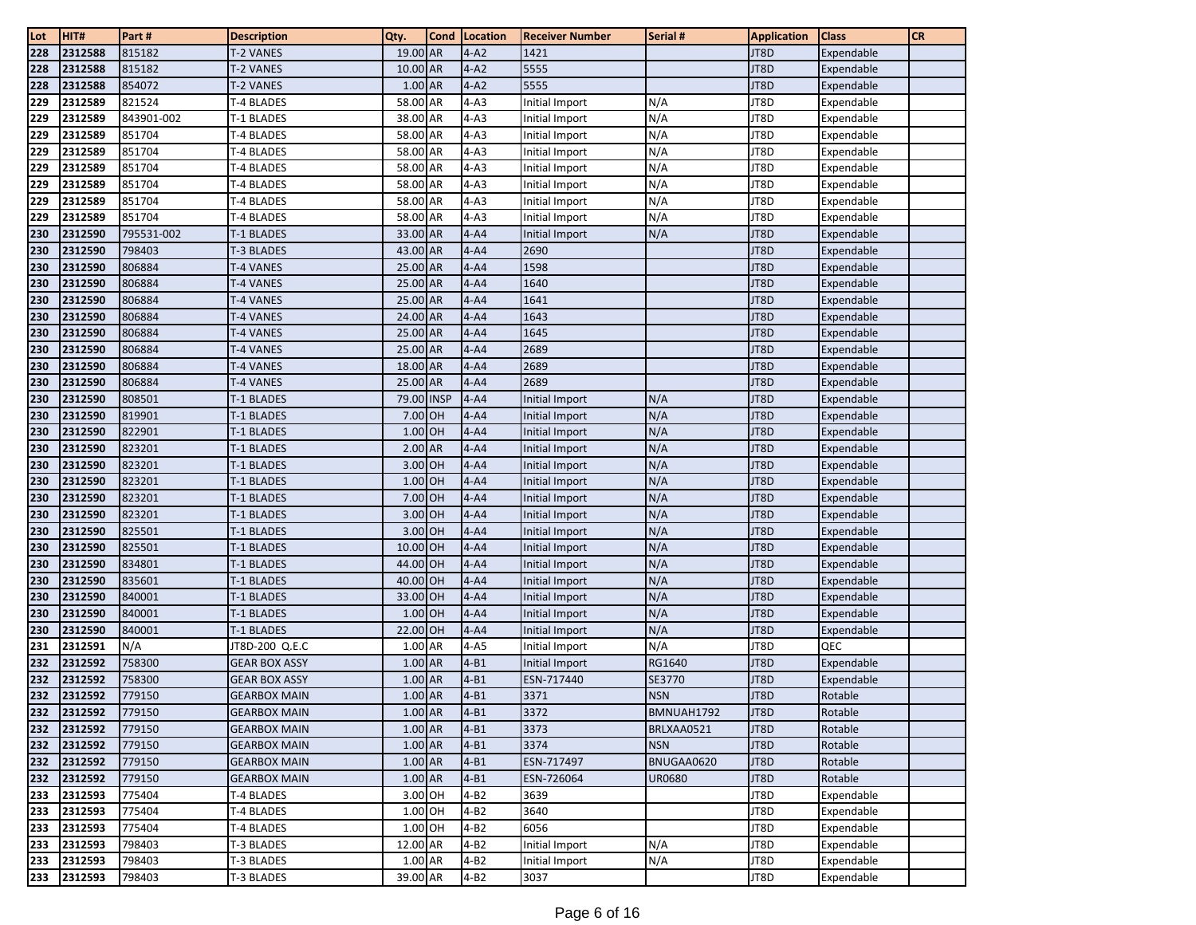| Lot        | HIT#               | Part#            | <b>Description</b>       | Qty.                 | <b>Cond</b> | Location             | <b>Receiver Number</b>           | Serial #   | <b>Application</b> | <b>Class</b>             | <b>CR</b> |
|------------|--------------------|------------------|--------------------------|----------------------|-------------|----------------------|----------------------------------|------------|--------------------|--------------------------|-----------|
| 228        | 2312588            | 815182           | T-2 VANES                | 19.00 AR             |             | $4-A2$               | 1421                             |            | JT8D               | Expendable               |           |
| 228        | 2312588            | 815182           | T-2 VANES                | 10.00 AR             |             | $4-A2$               | 5555                             |            | JT8D               | Expendable               |           |
| 228        | 2312588            | 854072           | T-2 VANES                | 1.00 AR              |             | $4-A2$               | 5555                             |            | JT8D               | Expendable               |           |
| 229        | 2312589            | 821524           | T-4 BLADES               | 58.00 AR             |             | $4-A3$               | Initial Import                   | N/A        | JT8D               | Expendable               |           |
| 229        | 2312589            | 843901-002       | T-1 BLADES               | 38.00 AR             |             | $4-A3$               | Initial Import                   | N/A        | JT8D               | Expendable               |           |
| 229        | 2312589            | 851704           | T-4 BLADES               | 58.00 AR             |             | $4-A3$               | Initial Import                   | N/A        | JT8D               | Expendable               |           |
| 229        | 2312589            | 851704           | T-4 BLADES               | 58.00 AR             |             | $4-A3$               | Initial Import                   | N/A        | JT8D               | Expendable               |           |
| 229        | 2312589            | 851704           | T-4 BLADES               | 58.00 AR             |             | $4-A3$               | Initial Import                   | N/A        | JT8D               | Expendable               |           |
| 229        | 2312589            | 851704           | T-4 BLADES               | 58.00 AR             |             | $4-A3$               | Initial Import                   | N/A        | JT8D               | Expendable               |           |
| 229        | 2312589            | 851704           | T-4 BLADES               | 58.00 AR             |             | $4-A3$               | <b>Initial Import</b>            | N/A        | JT8D               | Expendable               |           |
| 229        | 2312589            | 851704           | T-4 BLADES               | 58.00 AR             |             | $4-A3$               | Initial Import                   | N/A        | JT8D               | Expendable               |           |
| 230        | 2312590            | 795531-002       | T-1 BLADES               | 33.00 AR             |             | $4 - A4$             | Initial Import                   | N/A        | JT8D               | Expendable               |           |
| 230        | 2312590            | 798403           | <b>T-3 BLADES</b>        | 43.00 AR             |             | $4 - A4$             | 2690                             |            | JT8D               | Expendable               |           |
| 230        | 2312590            | 806884           | T-4 VANES                | 25.00 AR             |             | $4 - A4$             | 1598                             |            | JT8D               | Expendable               |           |
| 230        | 2312590            | 806884           | T-4 VANES                | 25.00 AR             |             | $4 - A4$             | 1640                             |            | JT8D               | Expendable               |           |
| 230        | 2312590            | 806884           | T-4 VANES                | 25.00 AR             |             | $4 - A4$             | 1641                             |            | JT8D               | Expendable               |           |
| 230        | 2312590            | 806884           | T-4 VANES                | 24.00 AR             |             | $4 - A4$             | 1643                             |            | JT8D               | Expendable               |           |
| 230        | 2312590            | 806884           | T-4 VANES                | 25.00 AR             |             | $4 - A4$             | 1645                             |            | JT8D               | Expendable               |           |
| 230        | 2312590            | 806884           | T-4 VANES                | 25.00 AR             |             | $4 - A4$             | 2689                             |            | JT8D               | Expendable               |           |
| 230        | 2312590            | 806884           | T-4 VANES                | 18.00 AR             |             | $4 - A4$             | 2689                             |            | JT8D               | Expendable               |           |
| 230        | 2312590            | 806884           | T-4 VANES                | 25.00 AR             |             | $4 - A4$             | 2689                             |            | JT8D               | Expendable               |           |
| 230        | 2312590            | 808501           | T-1 BLADES               | 79.00 INSP           |             | $4 - A4$             | <b>Initial Import</b>            | N/A        | JT8D               | Expendable               |           |
| 230        | 2312590            | 819901           | T-1 BLADES               | 7.00 OH              |             | $4 - A4$             | Initial Import                   | N/A        | JT8D               | Expendable               |           |
| 230        | 2312590            | 822901           | T-1 BLADES               | 1.00 OH              |             | $4 - A4$             | Initial Import                   | N/A        | JT8D               | Expendable               |           |
| 230        | 2312590            | 823201           | <b>T-1 BLADES</b>        | $2.00$ AR            |             | $4 - A4$             | Initial Import                   | N/A        | JT8D               | Expendable               |           |
| 230        | 2312590            | 823201           | T-1 BLADES               | 3.00 OH              |             | $4 - A4$             | Initial Import                   | N/A        | JT8D               | Expendable               |           |
| 230        | 2312590            | 823201           | T-1 BLADES               | 1.00 OH              |             | $4 - A4$             | Initial Import                   | N/A        | JT8D               | Expendable               |           |
| 230        | 2312590            | 823201           | T-1 BLADES               | 7.00 OH              |             | $4 - A4$             | Initial Import                   | N/A        | JT8D               | Expendable               |           |
| 230        | 2312590            | 823201           | T-1 BLADES               | 3.00 OH              |             | $4 - A4$             | Initial Import                   | N/A        | JT8D               | Expendable               |           |
| 230        | 2312590            | 825501           | T-1 BLADES               | 3.00 OH              |             | $4 - A4$             | Initial Import                   | N/A        | JT8D               | Expendable               |           |
| 230        | 2312590            | 825501           | T-1 BLADES               | 10.00 OH             |             | $4 - A4$             | Initial Import                   | N/A        | JT8D               | Expendable               |           |
| 230<br>230 | 2312590<br>2312590 | 834801<br>835601 | T-1 BLADES               | 44.00 OH<br>40.00 OH |             | $4 - A4$<br>$4 - A4$ | Initial Import                   | N/A<br>N/A | JT8D<br>JT8D       | Expendable               |           |
| 230        | 2312590            | 840001           | T-1 BLADES<br>T-1 BLADES | 33.00 OH             |             | $4 - A4$             | Initial Import<br>Initial Import | N/A        | JT8D               | Expendable<br>Expendable |           |
| 230        | 2312590            | 840001           | T-1 BLADES               | $1.00$ OH            |             | $4-A4$               | Initial Import                   | N/A        | JT8D               | Expendable               |           |
| 230        | 2312590            | 840001           | <b>T-1 BLADES</b>        | 22.00 OH             |             | $4 - A4$             | Initial Import                   | N/A        | JT8D               | Expendable               |           |
| 231        | 2312591            | N/A              | JT8D-200 Q.E.C           | 1.00 AR              |             | $4-A5$               | Initial Import                   | N/A        | JT8D               | QEC                      |           |
| 232        | 2312592            | 758300           | <b>GEAR BOX ASSY</b>     | 1.00 AR              |             | $4 - B1$             | <b>Initial Import</b>            | RG1640     | JT8D               | Expendable               |           |
| 232        | 2312592            | 758300           | GEAR BOX ASSY            | 1.00 AR              |             | $4 - B1$             | ESN-717440                       | SE3770     | JT8D               | Expendable               |           |
| 232        | 2312592            | 779150           | <b>GEARBOX MAIN</b>      | 1.00 AR              |             | $4 - B1$             | 3371                             | <b>NSN</b> | JT8D               | Rotable                  |           |
| 232        | 2312592            | 779150           | <b>GEARBOX MAIN</b>      | $1.00$ AR            |             | $4 - B1$             | 3372                             | BMNUAH1792 | JT8D               | Rotable                  |           |
| 232        | 2312592            | 779150           | <b>GEARBOX MAIN</b>      | 1.00 AR              |             | $4 - B1$             | 3373                             | BRLXAA0521 | JT8D               | Rotable                  |           |
| 232        | 2312592            | 779150           | <b>GEARBOX MAIN</b>      | 1.00 AR              |             | $4 - B1$             | 3374                             | <b>NSN</b> | JT8D               | Rotable                  |           |
| 232        | 2312592            | 779150           | <b>GEARBOX MAIN</b>      | 1.00 AR              |             | $4 - B1$             | ESN-717497                       | BNUGAA0620 | JT8D               | Rotable                  |           |
| 232        | 2312592            | 779150           | <b>GEARBOX MAIN</b>      | 1.00 AR              |             | $4 - B1$             | ESN-726064                       | UR0680     | JT8D               | Rotable                  |           |
| 233        | 2312593            | 775404           | T-4 BLADES               | 3.00 OH              |             | $4 - B2$             | 3639                             |            | JT8D               | Expendable               |           |
| 233        | 2312593            | 775404           | T-4 BLADES               | 1.00 OH              |             | $4 - B2$             | 3640                             |            | JT8D               | Expendable               |           |
| 233        | 2312593            | 775404           | T-4 BLADES               | 1.00 OH              |             | $4 - B2$             | 6056                             |            | JT8D               | Expendable               |           |
| 233        | 2312593            | 798403           | T-3 BLADES               | 12.00 AR             |             | $4 - B2$             | Initial Import                   | N/A        | JT8D               | Expendable               |           |
| 233        | 2312593            | 798403           | T-3 BLADES               | 1.00 AR              |             | $4 - B2$             | Initial Import                   | N/A        | JT8D               | Expendable               |           |
| 233        | 2312593            | 798403           | T-3 BLADES               | 39.00 AR             |             | $4 - B2$             | 3037                             |            | JT8D               | Expendable               |           |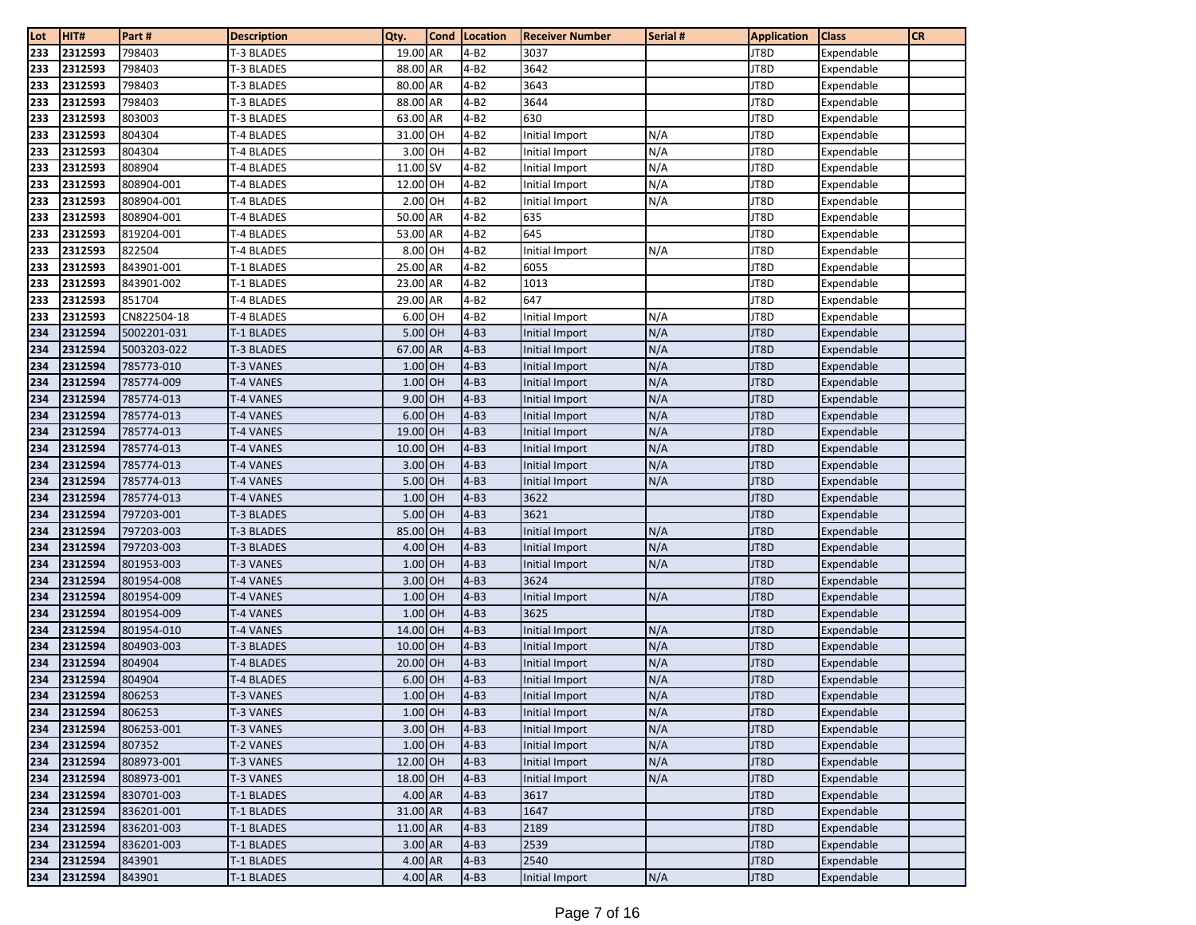| Lot        | HIT#               | Part #                   | <b>Description</b>                     | Qty.               | <b>Cond</b> | Location         | <b>Receiver Number</b>           | Serial # | <b>Application</b> | <b>Class</b>             | <b>CR</b> |
|------------|--------------------|--------------------------|----------------------------------------|--------------------|-------------|------------------|----------------------------------|----------|--------------------|--------------------------|-----------|
| 233        | 2312593            | 798403                   | T-3 BLADES                             | 19.00 AR           |             | $4 - B2$         | 3037                             |          | JT8D               | Expendable               |           |
| 233        | 2312593            | 798403                   | T-3 BLADES                             | 88.00 AR           |             | $4 - B2$         | 3642                             |          | JT8D               | Expendable               |           |
| 233        | 2312593            | 798403                   | T-3 BLADES                             | 80.00 AR           |             | $4 - B2$         | 3643                             |          | JT8D               | Expendable               |           |
| 233        | 2312593            | 798403                   | T-3 BLADES                             | 88.00 AR           |             | 4-B2             | 3644                             |          | JT8D               | Expendable               |           |
| 233        | 2312593            | 803003                   | T-3 BLADES                             | 63.00 AR           |             | 4-B2             | 630                              |          | JT8D               | Expendable               |           |
| 233        | 2312593            | 804304                   | T-4 BLADES                             | 31.00 OH           |             | $4 - B2$         | Initial Import                   | N/A      | JT8D               | Expendable               |           |
| 233        | 2312593            | 804304                   | T-4 BLADES                             | 3.00 OH            |             | $4-B2$           | Initial Import                   | N/A      | JT8D               | Expendable               |           |
| 233        | 2312593            | 808904                   | T-4 BLADES                             | 11.00 SV           |             | $4 - B2$         | Initial Import                   | N/A      | JT8D               | Expendable               |           |
| 233        | 2312593            | 808904-001               | T-4 BLADES                             | 12.00 OH           |             | $4 - B2$         | Initial Import                   | N/A      | JT8D               | Expendable               |           |
| 233        | 2312593            | 808904-001               | T-4 BLADES                             | 2.00 OH            |             | $4 - B2$         | Initial Import                   | N/A      | JT8D               | Expendable               |           |
| 233        | 2312593            | 808904-001               | T-4 BLADES                             | 50.00 AR           |             | $4-B2$           | 635                              |          | JT8D               | Expendable               |           |
| 233        | 2312593            | 819204-001               | T-4 BLADES                             | 53.00 AR           |             | $4 - B2$         | 645                              |          | JT8D               | Expendable               |           |
| 233        | 2312593            | 822504                   | T-4 BLADES                             | 8.00 OH            |             | $4 - B2$         | Initial Import                   | N/A      | JT8D               | Expendable               |           |
| 233        | 2312593            | 843901-001               | T-1 BLADES                             | 25.00 AR           |             | $4 - B2$         | 6055                             |          | JT8D               | Expendable               |           |
| 233        | 2312593            | 843901-002               | T-1 BLADES                             | 23.00 AR           |             | $4 - B2$         | 1013                             |          | JT8D               | Expendable               |           |
| 233        | 2312593            | 851704                   | T-4 BLADES                             | 29.00 AR           |             | 4-B2             | 647                              |          | JT8D               | Expendable               |           |
| 233        | 2312593            | CN822504-18              | T-4 BLADES                             | 6.00 OH            |             | $4 - B2$         | Initial Import                   | N/A      | JT8D               | Expendable               |           |
| 234        | 2312594            | 5002201-031              | T-1 BLADES                             | 5.00 OH            |             | $4 - B3$         | Initial Import                   | N/A      | JT8D               | Expendable               |           |
| 234        | 2312594            | 5003203-022              | T-3 BLADES                             | 67.00 AR           |             | $4 - B3$         | Initial Import                   | N/A      | JT8D               | Expendable               |           |
| 234        | 2312594            | 785773-010               | T-3 VANES                              | 1.00 OH            |             | $4-B3$           | <b>Initial Import</b>            | N/A      | JT8D               | Expendable               |           |
| 234        | 2312594            | 785774-009               | T-4 VANES                              | 1.00 OH            |             | $4 - B3$         | Initial Import                   | N/A      | JT8D               | Expendable               |           |
| 234        | 2312594            | 785774-013               | <b>T-4 VANES</b>                       | 9.00 OH            |             | $4-B3$           | Initial Import                   | N/A      | JT8D               | Expendable               |           |
| 234        | 2312594            | 785774-013               | T-4 VANES                              | 6.00 OH            |             | $4-B3$           | Initial Import                   | N/A      | JT8D               | Expendable               |           |
| 234        | 2312594            | 785774-013               | T-4 VANES                              | 19.00 OH           |             | $4 - B3$         | Initial Import                   | N/A      | JT8D               | Expendable               |           |
| 234        | 2312594            | 785774-013               | T-4 VANES                              | 10.00 OH           |             | $4-B3$           | Initial Import                   | N/A      | JT8D               | Expendable               |           |
| 234        | 2312594            | 785774-013               | T-4 VANES                              | 3.00 OH            |             | $4 - B3$         | Initial Import                   | N/A      | JT8D               | Expendable               |           |
| 234        | 2312594            | 785774-013               | T-4 VANES                              | 5.00 OH            |             | $4 - B3$         | Initial Import                   | N/A      | JT8D               | Expendable               |           |
| 234        | 2312594<br>2312594 | 785774-013<br>797203-001 | T-4 VANES                              | 1.00 OH<br>5.00 OH |             | $4-B3$<br>$4-B3$ | 3622<br>3621                     |          | JT8D<br>JT8D       | Expendable               |           |
| 234<br>234 | 2312594            | 797203-003               | <b>T-3 BLADES</b><br><b>T-3 BLADES</b> | 85.00 OH           |             | $4-B3$           |                                  | N/A      | JT8D               | Expendable<br>Expendable |           |
| 234        | 2312594            | 797203-003               | T-3 BLADES                             | 4.00 OH            |             | $4 - B3$         | Initial Import<br>Initial Import | N/A      | JT8D               | Expendable               |           |
| 234        | 2312594            | 801953-003               | T-3 VANES                              | 1.00 OH            |             | $4 - B3$         | Initial Import                   | N/A      | JT8D               | Expendable               |           |
| 234        | 2312594            | 801954-008               | T-4 VANES                              | 3.00 OH            |             | $4-B3$           | 3624                             |          | JT8D               | Expendable               |           |
| 234        | 2312594            | 801954-009               | T-4 VANES                              | 1.00 OH            |             | $4-B3$           | Initial Import                   | N/A      | JT8D               | Expendable               |           |
| 234        | 2312594            | 801954-009               | T-4 VANES                              | 1.00 OH            |             | $4 - B3$         | 3625                             |          | JT8D               | Expendable               |           |
| 234        | 2312594            | 801954-010               | <b>T-4 VANES</b>                       | 14.00 OH           |             | $4-B3$           | Initial Import                   | N/A      | JT8D               | Expendable               |           |
| 234        | 2312594            | 804903-003               | T-3 BLADES                             | 10.00 OH           |             | $4-B3$           | Initial Import                   | N/A      | JT8D               | Expendable               |           |
| 234        | 2312594            | 804904                   | T-4 BLADES                             | 20.00 OH           |             | $4 - B3$         | Initial Import                   | N/A      | JT8D               | Expendable               |           |
| 234        | 2312594            | 804904                   | <b>T-4 BLADES</b>                      | 6.00 OH            |             | $4 - B3$         | Initial Import                   | N/A      | JT8D               | Expendable               |           |
| 234        | 2312594            | 806253                   | <b>T-3 VANES</b>                       | 1.00 OH            |             | $4 - B3$         | Initial Import                   | N/A      | JT8D               | Expendable               |           |
| 234        | 2312594            | 806253                   | T-3 VANES                              | $1.00$ OH          |             | $4-B3$           | Initial Import                   | N/A      | JT8D               | Expendable               |           |
| 234        | 2312594            | 806253-001               | T-3 VANES                              | 3.00 OH            |             | $4-B3$           | Initial Import                   | N/A      | JT8D               | Expendable               |           |
| 234        | 2312594            | 807352                   | T-2 VANES                              | $1.00$ OH          |             | $4-B3$           | Initial Import                   | N/A      | JT8D               | Expendable               |           |
| 234        | 2312594            | 808973-001               | T-3 VANES                              | 12.00 OH           |             | $4-B3$           | Initial Import                   | N/A      | JT8D               | Expendable               |           |
| 234        | 2312594            | 808973-001               | T-3 VANES                              | 18.00 OH           |             | $4-B3$           | Initial Import                   | N/A      | JT8D               | Expendable               |           |
| 234        | 2312594            | 830701-003               | T-1 BLADES                             | 4.00 AR            |             | $4-B3$           | 3617                             |          | JT8D               | Expendable               |           |
| 234        | 2312594            | 836201-001               | T-1 BLADES                             | 31.00 AR           |             | $4-B3$           | 1647                             |          | JT8D               | Expendable               |           |
| 234        | 2312594            | 836201-003               | <b>T-1 BLADES</b>                      | 11.00 AR           |             | $4-B3$           | 2189                             |          | JT8D               | Expendable               |           |
| 234        | 2312594            | 836201-003               | T-1 BLADES                             | 3.00 AR            |             | $4-B3$           | 2539                             |          | JT8D               | Expendable               |           |
| 234        | 2312594            | 843901                   | T-1 BLADES                             | 4.00 AR            |             | $4-B3$           | 2540                             |          | JT8D               | Expendable               |           |
| 234        | 2312594            | 843901                   | T-1 BLADES                             | 4.00 AR            |             | $4-B3$           | Initial Import                   | N/A      | JT8D               | Expendable               |           |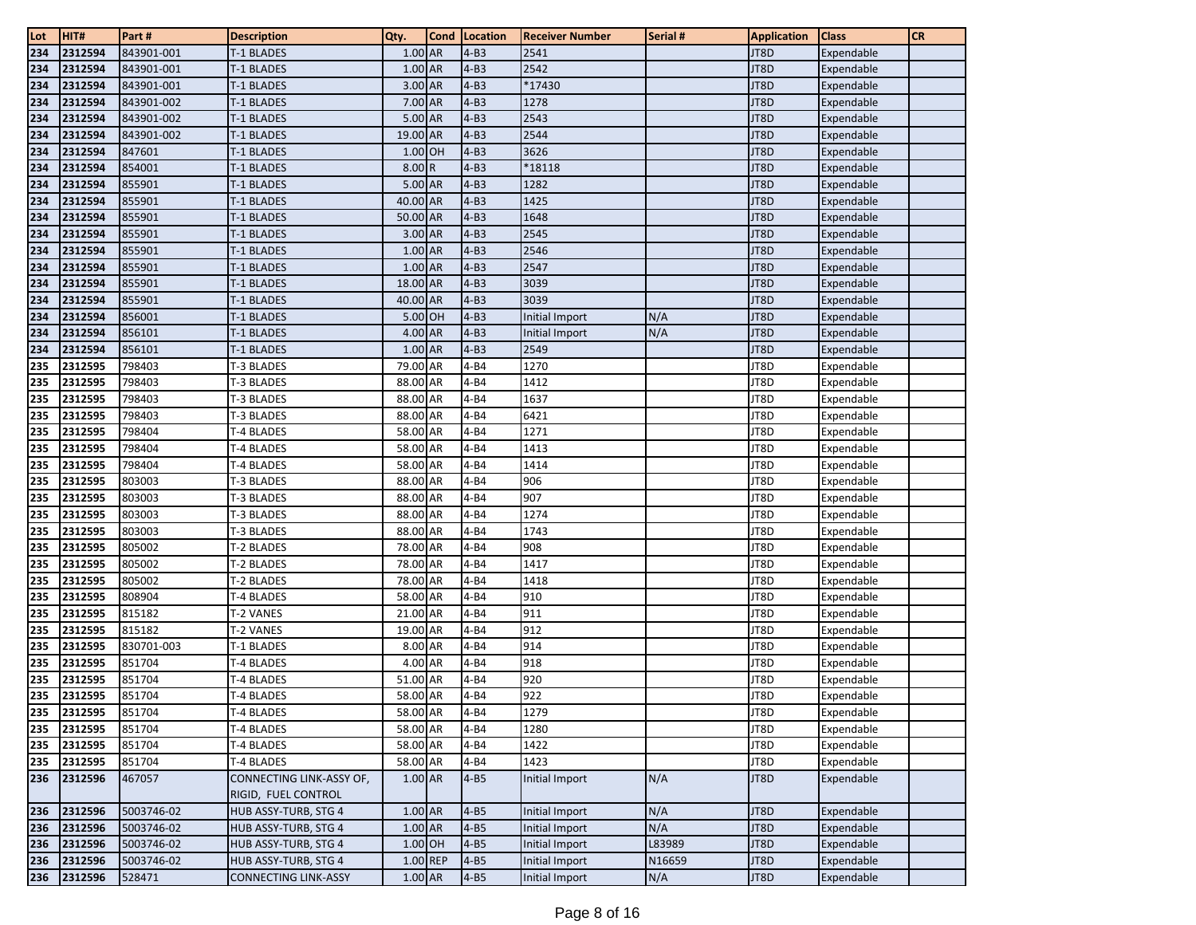| Lot        | HIT#    | Part#      | <b>Description</b>          | Qty.      | Cond   Location | <b>Receiver Number</b> | Serial # | <b>Application</b> | <b>Class</b> | <b>CR</b> |
|------------|---------|------------|-----------------------------|-----------|-----------------|------------------------|----------|--------------------|--------------|-----------|
| 234        | 2312594 | 843901-001 | <b>T-1 BLADES</b>           | 1.00 AR   | $4 - B3$        | 2541                   |          | JT8D               | Expendable   |           |
| 234        | 2312594 | 843901-001 | T-1 BLADES                  | $1.00$ AR | $4-B3$          | 2542                   |          | JT8D               | Expendable   |           |
| 234        | 2312594 | 843901-001 | T-1 BLADES                  | 3.00 AR   | $4-B3$          | *17430                 |          | JT8D               | Expendable   |           |
| 234        | 2312594 | 843901-002 | T-1 BLADES                  | 7.00 AR   | $4-B3$          | 1278                   |          | JT8D               | Expendable   |           |
| 234        | 2312594 | 843901-002 | T-1 BLADES                  | 5.00 AR   | $4-B3$          | 2543                   |          | JT8D               | Expendable   |           |
| 234        | 2312594 | 843901-002 | <b>T-1 BLADES</b>           | 19.00 AR  | $4-B3$          | 2544                   |          | JT8D               | Expendable   |           |
| 234        | 2312594 | 847601     | T-1 BLADES                  | 1.00 OH   | $4-B3$          | 3626                   |          | JT8D               | Expendable   |           |
| 234        | 2312594 | 854001     | T-1 BLADES                  | 8.00 R    | $4-B3$          | $*18118$               |          | JT8D               | Expendable   |           |
| 234        | 2312594 | 855901     | T-1 BLADES                  | 5.00 AR   | $4-B3$          | 1282                   |          | JT8D               | Expendable   |           |
| 234        | 2312594 | 855901     | T-1 BLADES                  | 40.00 AR  | $4-B3$          | 1425                   |          | JT8D               | Expendable   |           |
| 234        | 2312594 | 855901     | T-1 BLADES                  | 50.00 AR  | $4-B3$          | 1648                   |          | JT8D               | Expendable   |           |
| 234        | 2312594 | 855901     | T-1 BLADES                  | 3.00 AR   | $4-B3$          | 2545                   |          | JT8D               | Expendable   |           |
| 234        | 2312594 | 855901     | T-1 BLADES                  | 1.00 AR   | $4-B3$          | 2546                   |          | JT8D               | Expendable   |           |
| 234        | 2312594 | 855901     | T-1 BLADES                  | 1.00 AR   | $4-B3$          | 2547                   |          | JT8D               | Expendable   |           |
| 234        | 2312594 | 855901     | T-1 BLADES                  | 18.00 AR  | $4-B3$          | 3039                   |          | JT8D               | Expendable   |           |
| 234        | 2312594 | 855901     | T-1 BLADES                  | 40.00 AR  | $4-B3$          | 3039                   |          | JT8D               | Expendable   |           |
| 234        | 2312594 | 856001     | T-1 BLADES                  | 5.00 OH   | $4-B3$          | Initial Import         | N/A      | JT8D               | Expendable   |           |
| 234        | 2312594 | 856101     | T-1 BLADES                  | 4.00 AR   | $4-B3$          | Initial Import         | N/A      | JT8D               | Expendable   |           |
| 234        | 2312594 | 856101     | T-1 BLADES                  | 1.00 AR   | $4-B3$          | 2549                   |          | JT8D               | Expendable   |           |
| 235        | 2312595 | 798403     | T-3 BLADES                  | 79.00 AR  | $4 - B4$        | 1270                   |          | JT8D               | Expendable   |           |
| 235        | 2312595 | 798403     | T-3 BLADES                  | 88.00 AR  | $4 - B4$        | 1412                   |          | JT8D               | Expendable   |           |
| 235        | 2312595 | 798403     | T-3 BLADES                  | 88.00 AR  | $4 - B4$        | 1637                   |          | JT8D               | Expendable   |           |
| 235        | 2312595 | 798403     | T-3 BLADES                  | 88.00 AR  | $4 - B4$        | 6421                   |          | JT8D               | Expendable   |           |
| 235        | 2312595 | 798404     | T-4 BLADES                  | 58.00 AR  | $4 - B4$        | 1271                   |          | JT8D               | Expendable   |           |
| 235        | 2312595 | 798404     | T-4 BLADES                  | 58.00 AR  | $4 - B4$        | 1413                   |          | JT8D               | Expendable   |           |
| 235        | 2312595 | 798404     | T-4 BLADES                  | 58.00 AR  | $4 - B4$        | 1414                   |          | JT8D               | Expendable   |           |
| 235        | 2312595 | 803003     | T-3 BLADES                  | 88.00 AR  | $4 - B4$        | 906                    |          | JT8D               | Expendable   |           |
| 235        | 2312595 | 803003     | T-3 BLADES                  | 88.00 AR  | $4 - B4$        | 907                    |          | JT8D               | Expendable   |           |
| 235        | 2312595 | 803003     | T-3 BLADES                  | 88.00 AR  | $4 - B4$        | 1274                   |          | JT8D               | Expendable   |           |
| 235        | 2312595 | 803003     | T-3 BLADES                  | 88.00 AR  | $4 - B4$        | 1743                   |          | JT8D               | Expendable   |           |
| 235        | 2312595 | 805002     | T-2 BLADES                  | 78.00 AR  | $4 - B4$        | 908                    |          | JT8D               | Expendable   |           |
| 235        | 2312595 | 805002     | T-2 BLADES                  | 78.00 AR  | $4 - B4$        | 1417                   |          | JT8D               | Expendable   |           |
| 235        | 2312595 | 805002     | T-2 BLADES                  | 78.00 AR  | $4 - B4$        | 1418                   |          | JT8D               | Expendable   |           |
| 235        | 2312595 | 808904     | T-4 BLADES                  | 58.00 AR  | $4 - B4$        | 910                    |          | JT8D               | Expendable   |           |
| 235        | 2312595 | 815182     | T-2 VANES                   | 21.00 AR  | $4 - B4$        | 911                    |          | JT8D               | Expendable   |           |
| 235        | 2312595 | 815182     | T-2 VANES                   | 19.00 AR  | $4 - B4$        | 912                    |          | JT8D               | Expendable   |           |
| 235        | 2312595 | 830701-003 | T-1 BLADES                  | 8.00 AR   | $4 - B4$        | 914                    |          | JT8D               | Expendable   |           |
| 235        | 2312595 | 851704     | T-4 BLADES                  | 4.00 AR   | $4 - B4$        | 918                    |          | JT8D               | Expendable   |           |
| 235        | 2312595 | 851704     | T-4 BLADES                  | 51.00 AR  | $4 - B4$        | 920                    |          | JT8D               | Expendable   |           |
| 235        | 2312595 | 851704     | T-4 BLADES                  | 58.00 AR  | $4 - B4$        | 922                    |          | JT8D               | Expendable   |           |
| 235<br>235 | 2312595 | 851704     | <b>T-4 BLADES</b>           | 58.00 AR  | $4 - B4$        | 1279                   |          | JT8D               | Expendable   |           |
|            | 2312595 | 851704     | T-4 BLADES                  | 58.00 AR  | $4 - B4$        | 1280                   |          | JT8D               | Expendable   |           |
| 235        | 2312595 | 851704     | T-4 BLADES                  | 58.00 AR  | $4 - B4$        | 1422                   |          | JT8D               | Expendable   |           |
| 235        | 2312595 | 851704     | T-4 BLADES                  | 58.00 AR  | $4 - B4$        | 1423                   |          | JT8D               | Expendable   |           |
| 236        | 2312596 | 467057     | CONNECTING LINK-ASSY OF,    | 1.00 AR   | $4-B5$          | Initial Import         | N/A      | JT8D               | Expendable   |           |
|            |         |            | RIGID, FUEL CONTROL         |           |                 |                        |          |                    |              |           |
| 236        | 2312596 | 5003746-02 | HUB ASSY-TURB, STG 4        | 1.00 AR   | $4 - B5$        | Initial Import         | N/A      | JT8D               | Expendable   |           |
| 236        | 2312596 | 5003746-02 | HUB ASSY-TURB, STG 4        | 1.00 AR   | $4 - B5$        | Initial Import         | N/A      | JT8D               | Expendable   |           |
| 236        | 2312596 | 5003746-02 | HUB ASSY-TURB, STG 4        | 1.00 OH   | $4 - B5$        | Initial Import         | L83989   | JT8D               | Expendable   |           |
| 236        | 2312596 | 5003746-02 | HUB ASSY-TURB, STG 4        | 1.00 REP  | $4 - B5$        | Initial Import         | N16659   | JT8D               | Expendable   |           |
| 236        | 2312596 | 528471     | <b>CONNECTING LINK-ASSY</b> | 1.00 AR   | $4 - B5$        | Initial Import         | N/A      | JT8D               | Expendable   |           |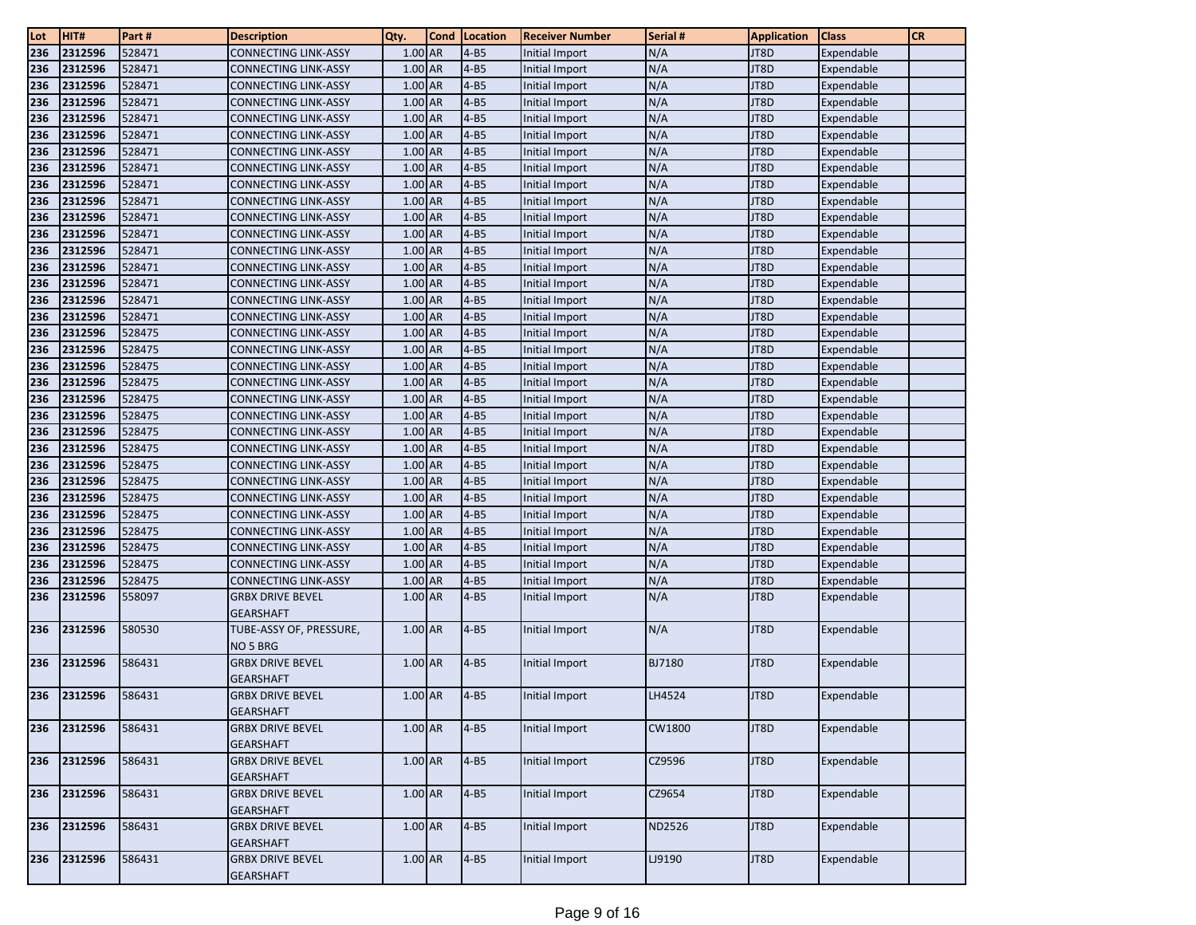| Lot | HIT#               | Part#            | <b>Description</b>                          | Qty.                 | Cond | Location             | <b>Receiver Number</b> | Serial #      | <b>Application</b> | <b>Class</b> | <b>CR</b> |
|-----|--------------------|------------------|---------------------------------------------|----------------------|------|----------------------|------------------------|---------------|--------------------|--------------|-----------|
| 236 | 2312596            | 528471           | CONNECTING LINK-ASSY                        | $1.00$ AR            |      | $4 - B5$             | Initial Import         | N/A           | JT8D               | Expendable   |           |
| 236 | 2312596            | 528471           | <b>CONNECTING LINK-ASSY</b>                 | 1.00 AR              |      | $4 - B5$             | <b>Initial Import</b>  | N/A           | JT8D               | Expendable   |           |
| 236 | 2312596            | 528471           | <b>CONNECTING LINK-ASSY</b>                 | $1.00$ AR            |      | $4-B5$               | Initial Import         | N/A           | JT8D               | Expendable   |           |
| 236 | 2312596            | 528471           | <b>CONNECTING LINK-ASSY</b>                 | 1.00 AR              |      | $4 - B5$             | Initial Import         | N/A           | JT8D               | Expendable   |           |
| 236 | 2312596            | 528471           | <b>CONNECTING LINK-ASSY</b>                 | 1.00 AR              |      | $4 - B5$             | Initial Import         | N/A           | JT8D               | Expendable   |           |
| 236 | 2312596            | 528471           | CONNECTING LINK-ASSY                        | 1.00 AR              |      | $4 - B5$             | Initial Import         | N/A           | JT8D               | Expendable   |           |
| 236 | 2312596            | 528471           | CONNECTING LINK-ASSY                        | 1.00 AR              |      | $4 - B5$             | Initial Import         | N/A           | JT8D               | Expendable   |           |
| 236 | 2312596            | 528471           | <b>CONNECTING LINK-ASSY</b>                 | 1.00 AR              |      | $4 - B5$             | Initial Import         | N/A           | JT8D               | Expendable   |           |
| 236 | 2312596            | 528471           | <b>CONNECTING LINK-ASSY</b>                 | 1.00 AR              |      | $4 - B5$             | <b>Initial Import</b>  | N/A           | JT8D               | Expendable   |           |
| 236 | 2312596            | 528471           | <b>CONNECTING LINK-ASSY</b>                 | 1.00 AR              |      | $4 - B5$             | Initial Import         | N/A           | JT8D               | Expendable   |           |
| 236 | 2312596            | 528471           | CONNECTING LINK-ASSY                        | 1.00 AR              |      | $4 - B5$             | Initial Import         | N/A           | JT8D               | Expendable   |           |
| 236 | 2312596            | 528471           | CONNECTING LINK-ASSY                        | $1.00$ AR            |      | $4 - B5$             | Initial Import         | N/A           | JT8D               | Expendable   |           |
| 236 | 2312596            | 528471           | CONNECTING LINK-ASSY                        | 1.00 AR              |      | $4 - B5$             | <b>Initial Import</b>  | N/A           | JT8D               | Expendable   |           |
| 236 | 2312596            | 528471           | <b>CONNECTING LINK-ASSY</b>                 | 1.00 AR              |      | $4 - B5$             | Initial Import         | N/A           | JT8D               | Expendable   |           |
| 236 | 2312596            | 528471           | <b>CONNECTING LINK-ASSY</b>                 | $1.00$ AR            |      | $4 - B5$             | Initial Import         | N/A           | JT8D               | Expendable   |           |
| 236 | 2312596            | 528471           | <b>CONNECTING LINK-ASSY</b>                 | 1.00 AR              |      | $4 - B5$             | Initial Import         | N/A           | JT8D               | Expendable   |           |
| 236 | 2312596            | 528471           | CONNECTING LINK-ASSY                        | 1.00 AR              |      | $4 - B5$             | Initial Import         | N/A           | JT8D               | Expendable   |           |
| 236 | 2312596            | 528475           | CONNECTING LINK-ASSY                        | $1.00$ AR            |      | $4 - B5$             | Initial Import         | N/A           | JT8D               | Expendable   |           |
| 236 | 2312596            | 528475           | <b>CONNECTING LINK-ASSY</b>                 | 1.00 AR              |      | $4 - B5$             | Initial Import         | N/A           | JT8D               | Expendable   |           |
| 236 | 2312596            | 528475           | <b>CONNECTING LINK-ASSY</b>                 | 1.00 AR              |      | $4 - B5$             | Initial Import         | N/A           | JT8D               | Expendable   |           |
| 236 | 2312596            | 528475           | CONNECTING LINK-ASSY                        | 1.00 AR              |      | $4 - B5$             | Initial Import         | N/A           | JT8D               | Expendable   |           |
| 236 | 2312596            | 528475           | CONNECTING LINK-ASSY                        | 1.00 AR              |      | $4 - B5$             | Initial Import         | N/A           | JT8D               | Expendable   |           |
| 236 | 2312596            | 528475           | CONNECTING LINK-ASSY                        | 1.00 AR              |      | $4 - B5$             | Initial Import         | N/A           | JT8D               | Expendable   |           |
| 236 | 2312596            | 528475           | <b>CONNECTING LINK-ASSY</b>                 | $1.00$ AR            |      | $4 - B5$             | Initial Import         | N/A           | JT8D               | Expendable   |           |
| 236 | 2312596            | 528475           | <b>CONNECTING LINK-ASSY</b>                 | 1.00 AR              |      | $4-B5$               | Initial Import         | N/A           | JT8D               | Expendable   |           |
| 236 | 2312596            | 528475           | CONNECTING LINK-ASSY                        | $1.00$ AR            |      | $4 - B5$             | Initial Import         | N/A           | JT8D               | Expendable   |           |
| 236 | 2312596            | 528475           | CONNECTING LINK-ASSY                        | 1.00 AR              |      | $4 - B5$             | Initial Import         | N/A           | JT8D               | Expendable   |           |
| 236 | 2312596            | 528475           | CONNECTING LINK-ASSY                        | 1.00 AR              |      | $4 - B5$             | Initial Import         | N/A           | JT8D               | Expendable   |           |
| 236 | 2312596            | 528475           | CONNECTING LINK-ASSY                        | 1.00 AR              |      | $4 - B5$             | Initial Import         | N/A           | JT8D               | Expendable   |           |
| 236 | 2312596            | 528475           | <b>CONNECTING LINK-ASSY</b>                 | 1.00 AR              |      | $4 - B5$             | <b>Initial Import</b>  | N/A           | JT8D               | Expendable   |           |
| 236 | 2312596<br>2312596 | 528475           | <b>CONNECTING LINK-ASSY</b>                 | 1.00 AR<br>$1.00$ AR |      | $4 - B5$             | Initial Import         | N/A           | JT8D<br>JT8D       | Expendable   |           |
| 236 |                    | 528475           | CONNECTING LINK-ASSY                        | 1.00 AR              |      | $4 - B5$             | Initial Import         | N/A           |                    | Expendable   |           |
| 236 | 2312596<br>2312596 | 528475<br>558097 | CONNECTING LINK-ASSY                        | 1.00 AR              |      | $4 - B5$<br>$4 - B5$ | Initial Import         | N/A<br>N/A    | JT8D<br>JT8D       | Expendable   |           |
| 236 |                    |                  | <b>GRBX DRIVE BEVEL</b><br><b>GEARSHAFT</b> |                      |      |                      | Initial Import         |               |                    | Expendable   |           |
| 236 | 2312596            | 580530           | TUBE-ASSY OF, PRESSURE,                     | $1.00$ AR            |      | $4 - B5$             | Initial Import         | N/A           | JT8D               | Expendable   |           |
|     |                    |                  | NO 5 BRG                                    |                      |      |                      |                        |               |                    |              |           |
| 236 | 2312596            | 586431           | <b>GRBX DRIVE BEVEL</b>                     | 1.00 AR              |      | $4 - B5$             | Initial Import         | <b>BJ7180</b> | JT8D               | Expendable   |           |
|     |                    |                  | <b>GEARSHAFT</b>                            |                      |      |                      |                        |               |                    |              |           |
| 236 | 2312596            | 586431           | <b>GRBX DRIVE BEVEL</b>                     | 1.00 AR              |      | $4-B5$               | Initial Import         | LH4524        | JT8D               | Expendable   |           |
|     |                    |                  | <b>GEARSHAFT</b>                            |                      |      |                      |                        |               |                    |              |           |
| 236 | 2312596            | 586431           | <b>GRBX DRIVE BEVEL</b>                     | $1.00$ AR            |      | $4 - B5$             | Initial Import         | CW1800        | JT8D               | Expendable   |           |
|     |                    |                  | <b>GEARSHAFT</b>                            |                      |      |                      |                        |               |                    |              |           |
| 236 | 2312596            | 586431           | <b>GRBX DRIVE BEVEL</b>                     | 1.00 AR              |      | $4 - B5$             | Initial Import         | CZ9596        | JT8D               | Expendable   |           |
|     |                    |                  | <b>GEARSHAFT</b>                            |                      |      |                      |                        |               |                    |              |           |
| 236 | 2312596            | 586431           | <b>GRBX DRIVE BEVEL</b>                     | 1.00 AR              |      | $4 - B5$             | Initial Import         | CZ9654        | JT8D               | Expendable   |           |
|     |                    |                  | <b>GEARSHAFT</b>                            |                      |      |                      |                        |               |                    |              |           |
| 236 | 2312596            | 586431           | <b>GRBX DRIVE BEVEL</b>                     | $1.00$ AR            |      | $4 - B5$             | Initial Import         | ND2526        | JT8D               | Expendable   |           |
|     |                    |                  | <b>GEARSHAFT</b>                            |                      |      |                      |                        |               |                    |              |           |
| 236 | 2312596            | 586431           | <b>GRBX DRIVE BEVEL</b>                     | 1.00 AR              |      | $4 - B5$             | Initial Import         | LJ9190        | JT8D               | Expendable   |           |
|     |                    |                  | <b>GEARSHAFT</b>                            |                      |      |                      |                        |               |                    |              |           |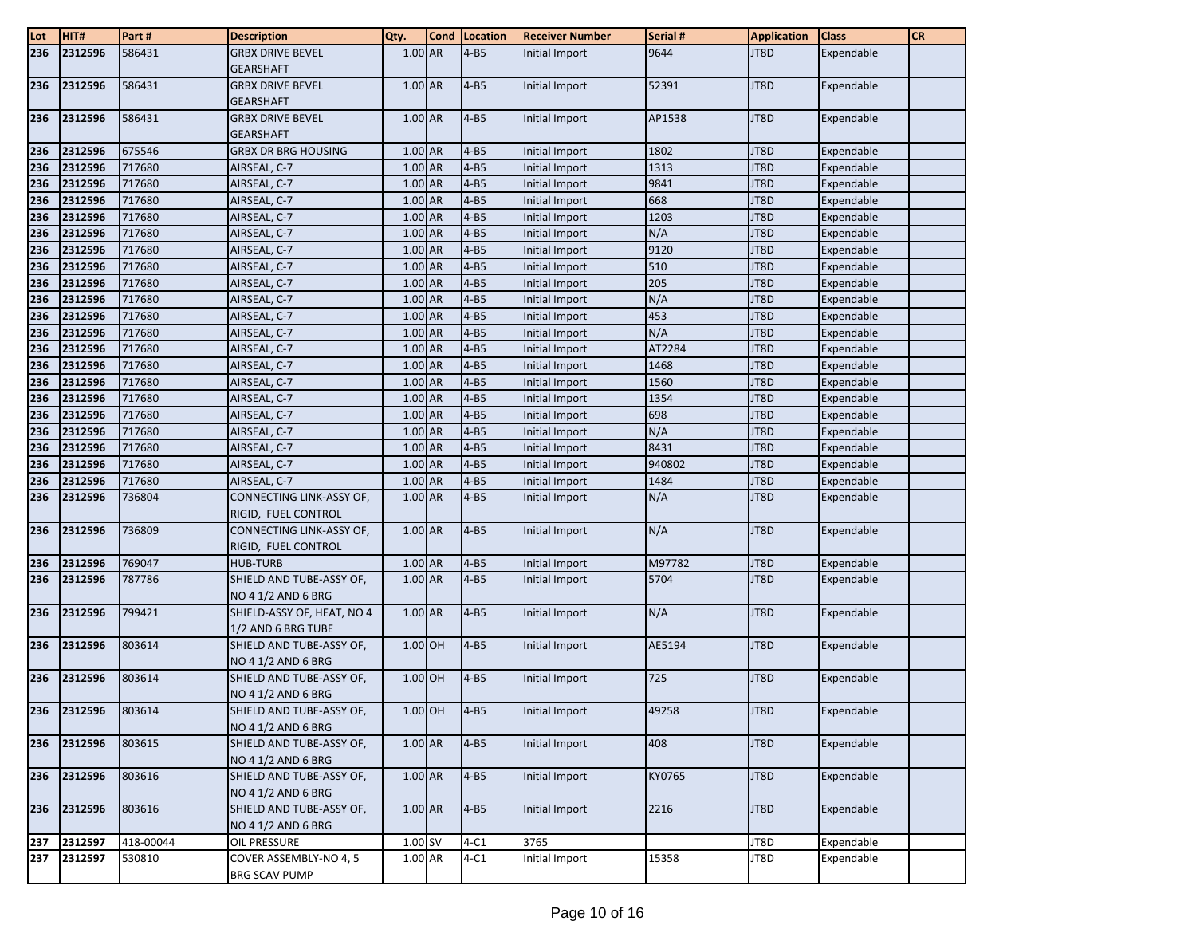| Lot | HIT#    | Part#     | <b>Description</b>         | Qty.      | <b>Cond</b> | Location | <b>Receiver Number</b> | Serial # | <b>Application</b> | <b>Class</b> | <b>CR</b> |
|-----|---------|-----------|----------------------------|-----------|-------------|----------|------------------------|----------|--------------------|--------------|-----------|
| 236 | 2312596 | 586431    | <b>GRBX DRIVE BEVEL</b>    | 1.00 AR   |             | $4 - B5$ | Initial Import         | 9644     | JT8D               | Expendable   |           |
|     |         |           | <b>GEARSHAFT</b>           |           |             |          |                        |          |                    |              |           |
| 236 | 2312596 | 586431    | <b>GRBX DRIVE BEVEL</b>    | 1.00 AR   |             | $4 - B5$ | Initial Import         | 52391    | JT8D               | Expendable   |           |
|     |         |           | <b>GEARSHAFT</b>           |           |             |          |                        |          |                    |              |           |
| 236 | 2312596 | 586431    | <b>GRBX DRIVE BEVEL</b>    | 1.00 AR   |             | $4 - B5$ | Initial Import         | AP1538   | JT8D               | Expendable   |           |
|     |         |           | <b>GEARSHAFT</b>           |           |             |          |                        |          |                    |              |           |
| 236 | 2312596 | 675546    | <b>GRBX DR BRG HOUSING</b> | 1.00 AR   |             | $4 - B5$ | Initial Import         | 1802     | JT8D               | Expendable   |           |
| 236 | 2312596 | 717680    | AIRSEAL, C-7               | 1.00 AR   |             | $4-B5$   | Initial Import         | 1313     | JT8D               | Expendable   |           |
| 236 | 2312596 | 717680    | AIRSEAL, C-7               | 1.00 AR   |             | $4 - B5$ | Initial Import         | 9841     | JT8D               | Expendable   |           |
| 236 | 2312596 | 717680    | AIRSEAL, C-7               | 1.00 AR   |             | $4-B5$   | Initial Import         | 668      | JT8D               | Expendable   |           |
| 236 | 2312596 | 717680    | AIRSEAL, C-7               | 1.00 AR   |             | $4 - B5$ | Initial Import         | 1203     | JT8D               | Expendable   |           |
| 236 | 2312596 | 717680    | AIRSEAL, C-7               | 1.00 AR   |             | $4 - B5$ | Initial Import         | N/A      | JT8D               | Expendable   |           |
| 236 | 2312596 | 717680    | AIRSEAL, C-7               | 1.00 AR   |             | $4-B5$   | Initial Import         | 9120     | JT8D               | Expendable   |           |
| 236 | 2312596 | 717680    | AIRSEAL, C-7               | 1.00 AR   |             | $4-B5$   | Initial Import         | 510      | JT8D               | Expendable   |           |
| 236 | 2312596 | 717680    | AIRSEAL, C-7               | 1.00 AR   |             | $4 - B5$ | Initial Import         | 205      | JT8D               | Expendable   |           |
| 236 | 2312596 | 717680    | AIRSEAL, C-7               | 1.00 AR   |             | $4 - B5$ | Initial Import         | N/A      | JT8D               | Expendable   |           |
| 236 | 2312596 | 717680    | AIRSEAL, C-7               | 1.00 AR   |             | $4 - B5$ | Initial Import         | 453      | JT8D               | Expendable   |           |
| 236 | 2312596 | 717680    | AIRSEAL, C-7               | 1.00 AR   |             | $4 - B5$ | Initial Import         | N/A      | JT8D               | Expendable   |           |
| 236 | 2312596 | 717680    | AIRSEAL, C-7               | 1.00 AR   |             | $4-B5$   | Initial Import         | AT2284   | JT8D               | Expendable   |           |
| 236 | 2312596 | 717680    | AIRSEAL, C-7               | 1.00 AR   |             | $4 - B5$ | Initial Import         | 1468     | JT8D               | Expendable   |           |
| 236 | 2312596 | 717680    | AIRSEAL, C-7               | 1.00 AR   |             | $4 - B5$ | Initial Import         | 1560     | JT8D               | Expendable   |           |
| 236 | 2312596 | 717680    | AIRSEAL, C-7               | 1.00 AR   |             | $4-B5$   | Initial Import         | 1354     | JT8D               | Expendable   |           |
| 236 | 2312596 | 717680    | AIRSEAL, C-7               | 1.00 AR   |             | $4 - B5$ | <b>Initial Import</b>  | 698      | JT8D               | Expendable   |           |
| 236 | 2312596 | 717680    | AIRSEAL, C-7               | 1.00 AR   |             | $4-B5$   | Initial Import         | N/A      | JT8D               | Expendable   |           |
| 236 | 2312596 | 717680    | AIRSEAL, C-7               | 1.00 AR   |             | $4 - B5$ | Initial Import         | 8431     | JT8D               | Expendable   |           |
| 236 | 2312596 | 717680    | AIRSEAL, C-7               | 1.00 AR   |             | $4 - B5$ | Initial Import         | 940802   | JT8D               | Expendable   |           |
| 236 | 2312596 | 717680    | AIRSEAL, C-7               | 1.00 AR   |             | $4 - B5$ | Initial Import         | 1484     | JT8D               | Expendable   |           |
| 236 | 2312596 | 736804    | CONNECTING LINK-ASSY OF,   | 1.00 AR   |             | $4 - B5$ | Initial Import         | N/A      | JT8D               | Expendable   |           |
|     |         |           | RIGID, FUEL CONTROL        |           |             |          |                        |          |                    |              |           |
| 236 | 2312596 | 736809    | CONNECTING LINK-ASSY OF,   | $1.00$ AR |             | $4 - B5$ | Initial Import         | N/A      | JT8D               | Expendable   |           |
|     |         |           | RIGID, FUEL CONTROL        |           |             |          |                        |          |                    |              |           |
| 236 | 2312596 | 769047    | <b>HUB-TURB</b>            | 1.00 AR   |             | $4-B5$   | Initial Import         | M97782   | JT8D               | Expendable   |           |
| 236 | 2312596 | 787786    | SHIELD AND TUBE-ASSY OF,   | 1.00 AR   |             | $4 - B5$ | Initial Import         | 5704     | JT8D               | Expendable   |           |
|     |         |           | <b>NO 4 1/2 AND 6 BRG</b>  |           |             |          |                        |          |                    |              |           |
| 236 | 2312596 | 799421    | SHIELD-ASSY OF, HEAT, NO 4 | 1.00 AR   |             | $4 - B5$ | Initial Import         | N/A      | JT8D               | Expendable   |           |
|     |         |           | 1/2 AND 6 BRG TUBE         |           |             |          |                        |          |                    |              |           |
| 236 | 2312596 | 803614    | SHIELD AND TUBE-ASSY OF,   | 1.00 OH   |             | $4-B5$   | Initial Import         | AE5194   | JT8D               | Expendable   |           |
|     |         |           | NO 4 1/2 AND 6 BRG         |           |             |          |                        |          |                    |              |           |
| 236 | 2312596 | 803614    | SHIELD AND TUBE-ASSY OF,   | 1.00 OH   |             | $4 - B5$ | Initial Import         | 725      | JT8D               | Expendable   |           |
|     |         |           | <b>NO 4 1/2 AND 6 BRG</b>  |           |             |          |                        |          |                    |              |           |
| 236 | 2312596 | 803614    | SHIELD AND TUBE-ASSY OF,   | $1.00$ OH |             | $ 4-B5 $ | Initial Import         | 49258    | JT8D               | Expendable   |           |
|     |         |           | NO 4 1/2 AND 6 BRG         |           |             |          |                        |          |                    |              |           |
| 236 | 2312596 | 803615    | SHIELD AND TUBE-ASSY OF,   | $1.00$ AR |             | $4 - B5$ | Initial Import         | 408      | JT8D               | Expendable   |           |
|     |         |           | NO 4 1/2 AND 6 BRG         |           |             |          |                        |          |                    |              |           |
| 236 | 2312596 | 803616    | SHIELD AND TUBE-ASSY OF,   | 1.00 AR   |             | $4 - B5$ | Initial Import         | KY0765   | JT8D               | Expendable   |           |
|     |         |           | NO 4 1/2 AND 6 BRG         |           |             |          |                        |          |                    |              |           |
| 236 | 2312596 | 803616    | SHIELD AND TUBE-ASSY OF,   | 1.00 AR   |             | $4 - B5$ | Initial Import         | 2216     | JT8D               | Expendable   |           |
|     |         |           | NO 4 1/2 AND 6 BRG         |           |             |          |                        |          |                    |              |           |
| 237 | 2312597 | 418-00044 | OIL PRESSURE               | $1.00$ SV |             | $4-C1$   | 3765                   |          | JT8D               | Expendable   |           |
| 237 | 2312597 | 530810    | COVER ASSEMBLY-NO 4, 5     | 1.00 AR   |             | $4-C1$   | Initial Import         | 15358    | JT8D               | Expendable   |           |
|     |         |           | <b>BRG SCAV PUMP</b>       |           |             |          |                        |          |                    |              |           |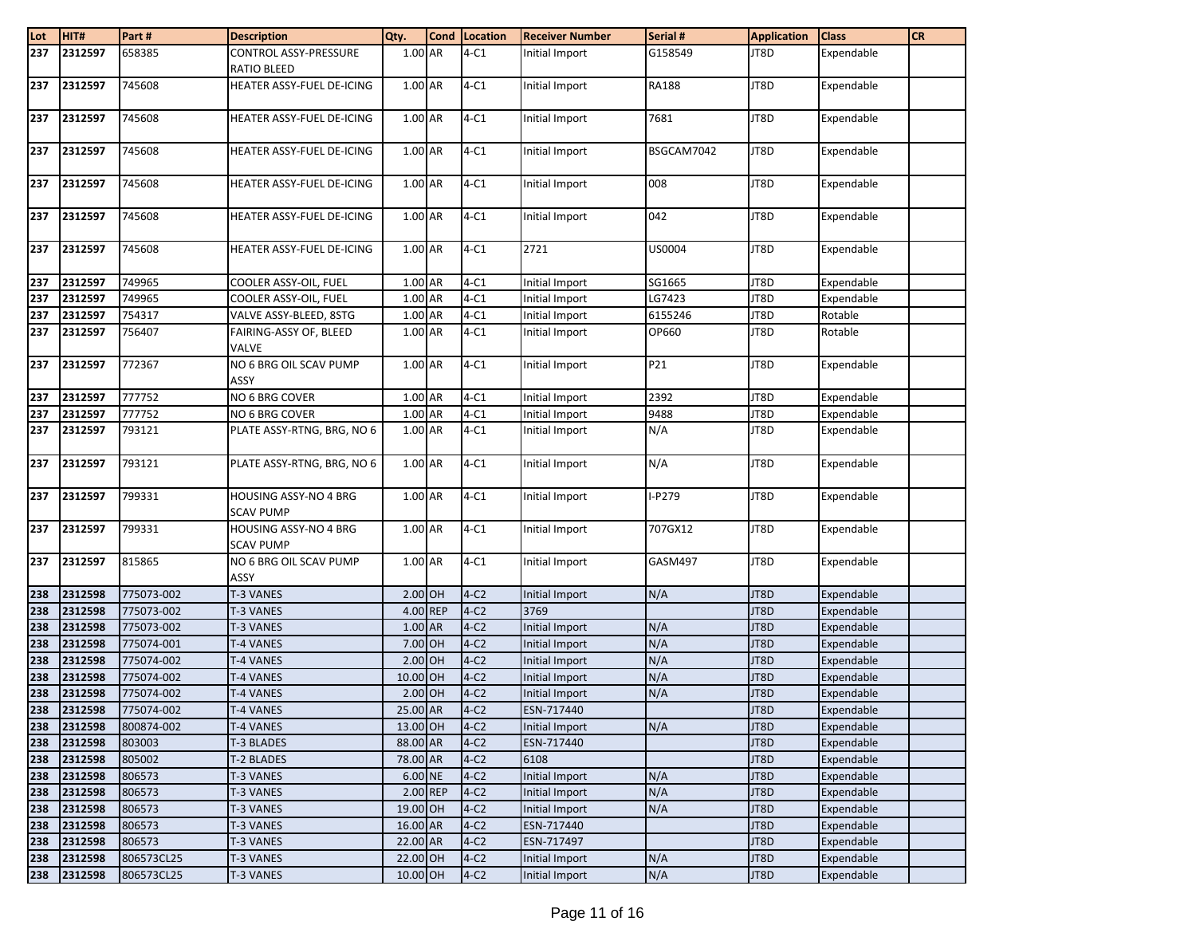| Lot | HIT#    | Part#      | <b>Description</b>         | Qty.     | Cond Location | <b>Receiver Number</b> | Serial #     | <b>Application</b> | <b>Class</b> | <b>CR</b> |
|-----|---------|------------|----------------------------|----------|---------------|------------------------|--------------|--------------------|--------------|-----------|
| 237 | 2312597 | 658385     | CONTROL ASSY-PRESSURE      | 1.00 AR  | $4-C1$        | Initial Import         | G158549      | JT8D               | Expendable   |           |
|     |         |            | <b>RATIO BLEED</b>         |          |               |                        |              |                    |              |           |
| 237 | 2312597 | 745608     | HEATER ASSY-FUEL DE-ICING  | 1.00 AR  | $4-C1$        | Initial Import         | <b>RA188</b> | JT8D               | Expendable   |           |
|     |         |            |                            |          |               |                        |              |                    |              |           |
| 237 | 2312597 | 745608     | HEATER ASSY-FUEL DE-ICING  | 1.00 AR  | $4-C1$        | Initial Import         | 7681         | JT8D               | Expendable   |           |
|     |         |            |                            |          |               |                        |              |                    |              |           |
| 237 | 2312597 | 745608     | HEATER ASSY-FUEL DE-ICING  | 1.00 AR  | $4-C1$        | Initial Import         | BSGCAM7042   | JT8D               | Expendable   |           |
|     |         |            |                            |          |               |                        |              |                    |              |           |
| 237 | 2312597 | 745608     | HEATER ASSY-FUEL DE-ICING  | 1.00 AR  | $4-C1$        | Initial Import         | 008          | JT8D               | Expendable   |           |
|     |         |            |                            |          |               |                        |              |                    |              |           |
| 237 | 2312597 | 745608     | HEATER ASSY-FUEL DE-ICING  | 1.00 AR  | $4-C1$        | Initial Import         | 042          | JT8D               | Expendable   |           |
|     |         |            |                            |          |               |                        |              |                    |              |           |
| 237 | 2312597 | 745608     | HEATER ASSY-FUEL DE-ICING  | 1.00 AR  | $4-C1$        | 2721                   | US0004       | JT8D               | Expendable   |           |
|     |         |            |                            |          |               |                        |              |                    |              |           |
| 237 | 2312597 | 749965     | COOLER ASSY-OIL, FUEL      | 1.00 AR  | $4-C1$        | Initial Import         | SG1665       | JT8D               | Expendable   |           |
| 237 | 2312597 | 749965     | COOLER ASSY-OIL, FUEL      | 1.00 AR  | $4-C1$        | Initial Import         | LG7423       | JT8D               | Expendable   |           |
| 237 | 2312597 | 754317     | VALVE ASSY-BLEED, 8STG     | 1.00 AR  | $4-C1$        | Initial Import         | 6155246      | JT8D               | Rotable      |           |
| 237 | 2312597 | 756407     | FAIRING-ASSY OF, BLEED     | 1.00 AR  | $4-C1$        | Initial Import         | OP660        | JT8D               | Rotable      |           |
|     |         |            | VALVE                      |          |               |                        |              |                    |              |           |
| 237 | 2312597 | 772367     | NO 6 BRG OIL SCAV PUMP     | 1.00 AR  | $4-C1$        | Initial Import         | P21          | JT8D               | Expendable   |           |
|     |         |            | ASSY                       |          |               |                        |              |                    |              |           |
| 237 | 2312597 | 777752     | NO 6 BRG COVER             | 1.00 AR  | $4-C1$        | Initial Import         | 2392         | JT8D               | Expendable   |           |
| 237 | 2312597 | 777752     | NO 6 BRG COVER             | 1.00 AR  | $4-C1$        | Initial Import         | 9488         | JT8D               | Expendable   |           |
| 237 | 2312597 | 793121     | PLATE ASSY-RTNG, BRG, NO 6 | 1.00 AR  | $4-C1$        | Initial Import         | N/A          | JT8D               | Expendable   |           |
|     |         |            |                            |          |               |                        |              |                    |              |           |
| 237 | 2312597 | 793121     | PLATE ASSY-RTNG, BRG, NO 6 | 1.00 AR  | $4-C1$        | Initial Import         | N/A          | JT8D               | Expendable   |           |
|     |         |            |                            |          |               |                        |              |                    |              |           |
| 237 | 2312597 | 799331     | HOUSING ASSY-NO 4 BRG      | 1.00 AR  | $4-C1$        | Initial Import         | $I-P279$     | JT8D               | Expendable   |           |
|     |         |            | <b>SCAV PUMP</b>           |          |               |                        |              |                    |              |           |
| 237 | 2312597 | 799331     | HOUSING ASSY-NO 4 BRG      | 1.00 AR  | $4-C1$        | Initial Import         | 707GX12      | JT8D               | Expendable   |           |
|     |         |            | <b>SCAV PUMP</b>           |          |               |                        |              |                    |              |           |
| 237 | 2312597 | 815865     | NO 6 BRG OIL SCAV PUMP     | 1.00 AR  | $4-C1$        | Initial Import         | GASM497      | JT8D               | Expendable   |           |
|     |         |            | ASSY                       |          |               |                        |              |                    |              |           |
| 238 | 2312598 | 775073-002 | T-3 VANES                  | 2.00 OH  | $4-C2$        | Initial Import         | N/A          | JT8D               | Expendable   |           |
| 238 | 2312598 | 775073-002 | T-3 VANES                  | 4.00 REP | $4-C2$        | 3769                   |              | JT8D               | Expendable   |           |
| 238 | 2312598 | 775073-002 | <b>T-3 VANES</b>           | 1.00 AR  | $4-C2$        | Initial Import         | N/A          | JT8D               | Expendable   |           |
| 238 | 2312598 | 775074-001 | T-4 VANES                  | 7.00 OH  | $4-C2$        | Initial Import         | N/A          | JT8D               | Expendable   |           |
| 238 | 2312598 | 775074-002 | <b>T-4 VANES</b>           | 2.00 OH  | $4-C2$        | Initial Import         | N/A          | JT8D               | Expendable   |           |
| 238 | 2312598 | 775074-002 | <b>T-4 VANES</b>           | 10.00 OH | $4-C2$        | Initial Import         | N/A          | JT8D               | Expendable   |           |
| 238 | 2312598 | 775074-002 | T-4 VANES                  | 2.00 OH  | $4-C2$        | Initial Import         | N/A          | JT8D               | Expendable   |           |
| 238 | 2312598 | 775074-002 | <b>T-4 VANES</b>           | 25.00 AR | $4-C2$        | ESN-717440             |              | JT8D               | Expendable   |           |
| 238 | 2312598 | 800874-002 | T-4 VANES                  | 13.00 OH | $4-C2$        | Initial Import         | N/A          | JT8D               | Expendable   |           |
| 238 | 2312598 | 803003     | T-3 BLADES                 | 88.00 AR | $4-C2$        | ESN-717440             |              | JT8D               | Expendable   |           |
| 238 | 2312598 | 805002     | <b>T-2 BLADES</b>          | 78.00 AR | $4-C2$        | 6108                   |              | JT8D               | Expendable   |           |
| 238 | 2312598 | 806573     | T-3 VANES                  | 6.00 NE  | $4-C2$        | Initial Import         | N/A          | JT8D               | Expendable   |           |
| 238 | 2312598 | 806573     | T-3 VANES                  | 2.00 REP | $4-C2$        | Initial Import         | N/A          | JT8D               | Expendable   |           |
| 238 | 2312598 | 806573     | T-3 VANES                  | 19.00 OH | $4-C2$        | Initial Import         | N/A          | JT8D               | Expendable   |           |
| 238 | 2312598 | 806573     | T-3 VANES                  | 16.00 AR | $4-C2$        | ESN-717440             |              | JT8D               | Expendable   |           |
| 238 | 2312598 | 806573     | T-3 VANES                  | 22.00 AR | $4-C2$        | ESN-717497             |              | JT8D               | Expendable   |           |
| 238 | 2312598 | 806573CL25 | <b>T-3 VANES</b>           | 22.00 OH | $4-C2$        | Initial Import         | N/A          | JT8D               | Expendable   |           |
| 238 | 2312598 | 806573CL25 | T-3 VANES                  | 10.00 OH | $4-C2$        | Initial Import         | N/A          | JT8D               | Expendable   |           |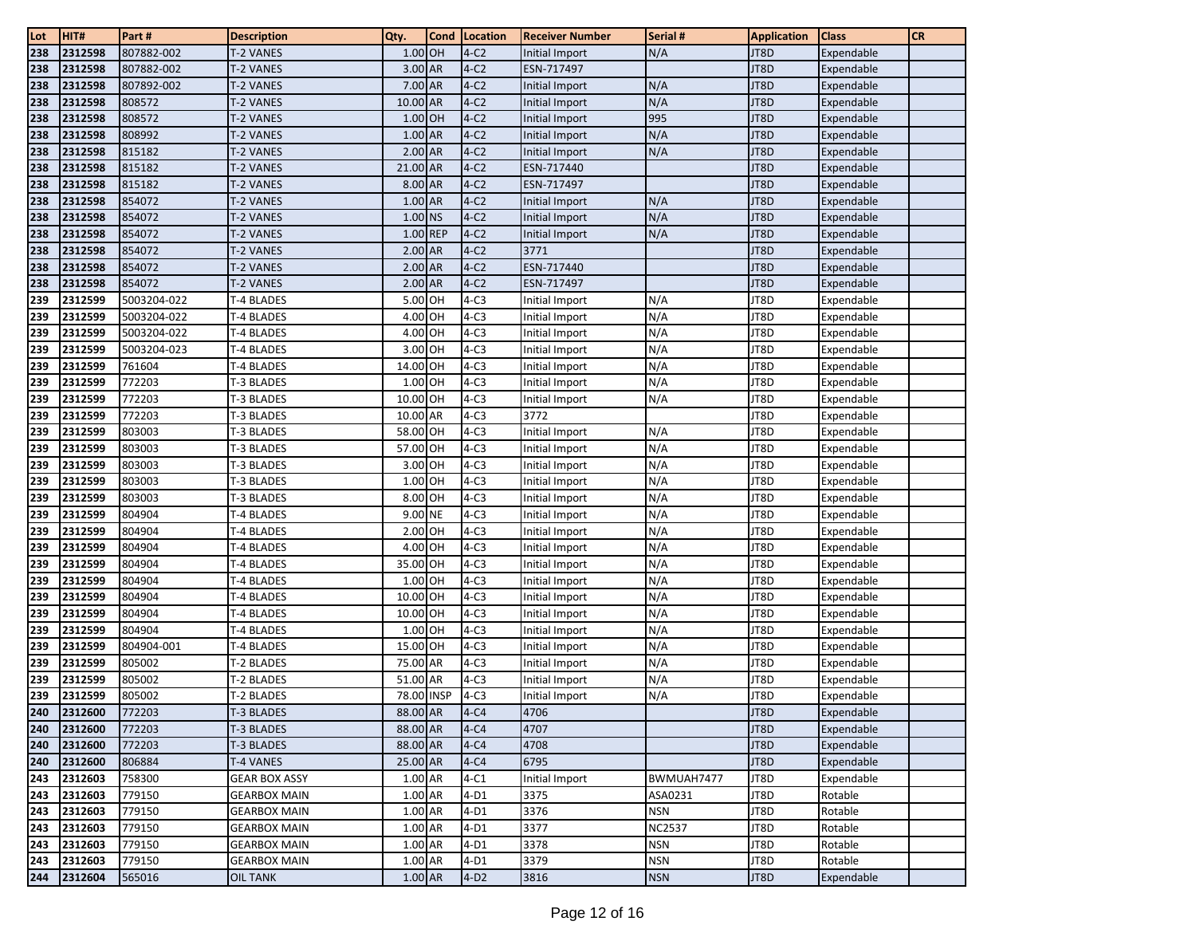| Lot        | HIT#               | Part#            | <b>Description</b>       | Qty.                | <b>Cond</b> | Location         | <b>Receiver Number</b>           | Serial #      | <b>Application</b> | <b>Class</b>             | <b>CR</b> |
|------------|--------------------|------------------|--------------------------|---------------------|-------------|------------------|----------------------------------|---------------|--------------------|--------------------------|-----------|
| 238        | 2312598            | 807882-002       | T-2 VANES                | 1.00 OH             |             | $4-C2$           | Initial Import                   | N/A           | JT8D               | Expendable               |           |
| 238        | 2312598            | 807882-002       | T-2 VANES                | 3.00 AR             |             | $4-C2$           | ESN-717497                       |               | JT8D               | Expendable               |           |
| 238        | 2312598            | 807892-002       | T-2 VANES                | 7.00 AR             |             | $4-C2$           | Initial Import                   | N/A           | JT8D               | Expendable               |           |
| 238        | 2312598            | 808572           | <b>T-2 VANES</b>         | 10.00 AR            |             | $4-C2$           | Initial Import                   | N/A           | JT8D               | Expendable               |           |
| 238        | 2312598            | 808572           | T-2 VANES                | 1.00 OH             |             | $4-C2$           | Initial Import                   | 995           | JT8D               | Expendable               |           |
| 238        | 2312598            | 808992           | T-2 VANES                | 1.00 AR             |             | $4-C2$           | Initial Import                   | N/A           | JT8D               | Expendable               |           |
| 238        | 2312598            | 815182           | T-2 VANES                | 2.00 AR             |             | $4-C2$           | Initial Import                   | N/A           | JT8D               | Expendable               |           |
| 238        | 2312598            | 815182           | <b>T-2 VANES</b>         | 21.00 AR            |             | $4-C2$           | ESN-717440                       |               | JT8D               | Expendable               |           |
| 238        | 2312598            | 815182           | T-2 VANES                | 8.00 AR             |             | $4-C2$           | ESN-717497                       |               | JT8D               | Expendable               |           |
| 238        | 2312598            | 854072           | T-2 VANES                | 1.00 AR             |             | $4-C2$           | Initial Import                   | N/A           | JT8D               | Expendable               |           |
| 238        | 2312598            | 854072           | T-2 VANES                | 1.00 NS             |             | $4-C2$           | Initial Import                   | N/A           | JT8D               | Expendable               |           |
| 238        | 2312598            | 854072           | <b>T-2 VANES</b>         | 1.00 REP            |             | $4-C2$           | Initial Import                   | N/A           | JT8D               | Expendable               |           |
| 238        | 2312598            | 854072           | T-2 VANES                | 2.00 AR             |             | $4-C2$           | 3771                             |               | JT8D               | Expendable               |           |
| 238        | 2312598            | 854072           | T-2 VANES                | $2.00$ AR           |             | $4-C2$           | ESN-717440                       |               | JT8D               | Expendable               |           |
| 238        | 2312598            | 854072           | T-2 VANES                | $2.00$ AR           |             | $4-C2$           | ESN-717497                       |               | JT8D               | Expendable               |           |
| 239        | 2312599            | 5003204-022      | T-4 BLADES               | 5.00 OH             |             | $4-C3$           | Initial Import                   | N/A           | JT8D               | Expendable               |           |
| 239        | 2312599            | 5003204-022      | T-4 BLADES               | 4.00 OH             |             | $4-C3$           | Initial Import                   | N/A           | JT8D               | Expendable               |           |
| 239        | 2312599            | 5003204-022      | T-4 BLADES               | 4.00 OH             |             | $4-C3$           | Initial Import                   | N/A           | JT8D               | Expendable               |           |
| 239        | 2312599            | 5003204-023      | T-4 BLADES               | 3.00 OH             |             | $4-C3$           | Initial Import                   | N/A           | JT8D               | Expendable               |           |
| 239        | 2312599            | 761604           | T-4 BLADES               | 14.00 OH            |             | $4-C3$           | Initial Import                   | N/A           | JT8D               | Expendable               |           |
| 239        | 2312599            | 772203           | T-3 BLADES               | 1.00 OH             |             | $4-C3$           | Initial Import                   | N/A           | JT8D               | Expendable               |           |
| 239        | 2312599            | 772203           | T-3 BLADES               | 10.00 OH            |             | $4-C3$           | Initial Import                   | N/A           | JT8D               | Expendable               |           |
| 239        | 2312599            | 772203           | T-3 BLADES               | 10.00 AR            |             | $4-C3$           | 3772                             |               | JT8D               | Expendable               |           |
| 239        | 2312599            | 803003           | T-3 BLADES               | 58.00 OH            |             | $4-C3$           | Initial Import                   | N/A           | JT8D               | Expendable               |           |
| 239        | 2312599            | 803003           | T-3 BLADES               | 57.00 OH            |             | $4-C3$           | Initial Import                   | N/A           | JT8D               | Expendable               |           |
| 239        | 2312599            | 803003           | T-3 BLADES               | 3.00 OH             |             | $4-C3$           | Initial Import                   | N/A           | JT8D               | Expendable               |           |
| 239        | 2312599            | 803003           | T-3 BLADES               | 1.00 OH             |             | $4-C3$           | Initial Import                   | N/A           | JT8D               | Expendable               |           |
| 239        | 2312599            | 803003           | T-3 BLADES               | 8.00 OH             |             | $4-C3$           | Initial Import                   | N/A           | JT8D               | Expendable               |           |
| 239        | 2312599            | 804904           | T-4 BLADES               | 9.00 NE             |             | $4-C3$           | Initial Import                   | N/A           | JT8D               | Expendable               |           |
| 239        | 2312599            | 804904           | T-4 BLADES               | 2.00 OH             |             | $4-C3$           | Initial Import                   | N/A           | JT8D               | Expendable               |           |
| 239        | 2312599<br>2312599 | 804904<br>804904 | T-4 BLADES               | 4.00 OH<br>35.00 OH |             | $4-C3$           | Initial Import                   | N/A           | JT8D               | Expendable               |           |
| 239        | 2312599            | 804904           | T-4 BLADES               | 1.00 OH             |             | $4-C3$<br>$4-C3$ | Initial Import                   | N/A<br>N/A    | JT8D<br>JT8D       | Expendable               |           |
| 239<br>239 | 2312599            | 804904           | T-4 BLADES<br>T-4 BLADES | 10.00 OH            |             | $4-C3$           | Initial Import<br>Initial Import | N/A           | JT8D               | Expendable<br>Expendable |           |
| 239        | 2312599            | 804904           | T-4 BLADES               | 10.00 OH            |             | $4-C3$           | Initial Import                   | N/A           | JT8D               | Expendable               |           |
| 239        | 2312599            | 804904           | T-4 BLADES               | 1.00 OH             |             | $4-C3$           | Initial Import                   | N/A           | JT8D               | Expendable               |           |
| 239        | 2312599            | 804904-001       | T-4 BLADES               | 15.00 OH            |             | $4-C3$           | Initial Import                   | N/A           | JT8D               | Expendable               |           |
| 239        | 2312599            | 805002           | T-2 BLADES               | 75.00 AR            |             | $4-C3$           | Initial Import                   | N/A           | JT8D               | Expendable               |           |
| 239        | 2312599            | 805002           | T-2 BLADES               | 51.00 AR            |             | $4-C3$           | Initial Import                   | N/A           | JT8D               | Expendable               |           |
| 239        | 2312599            | 805002           | <b>T-2 BLADES</b>        | 78.00 INSP          |             | $4-C3$           | Initial Import                   | N/A           | JT8D               | Expendable               |           |
| 240        | 2312600            | 772203           | <b>T-3 BLADES</b>        | 88.00 AR            |             | $4-C4$           | 4706                             |               | JT8D               | Expendable               |           |
| 240        | 2312600            | 772203           | <b>T-3 BLADES</b>        | 88.00 AR            |             | $4-C4$           | 4707                             |               | JT8D               | Expendable               |           |
| 240        | 2312600            | 772203           | <b>T-3 BLADES</b>        | 88.00 AR            |             | $4-C4$           | 4708                             |               | JT8D               | Expendable               |           |
| 240        | 2312600            | 806884           | T-4 VANES                | 25.00 AR            |             | $4-C4$           | 6795                             |               | JT8D               | Expendable               |           |
| 243        | 2312603            | 758300           | <b>GEAR BOX ASSY</b>     | 1.00 AR             |             | $4-C1$           | Initial Import                   | BWMUAH7477    | JT8D               | Expendable               |           |
| 243        | 2312603            | 779150           | <b>GEARBOX MAIN</b>      | 1.00 AR             |             | $4-D1$           | 3375                             | ASA0231       | JT8D               | Rotable                  |           |
| 243        | 2312603            | 779150           | <b>GEARBOX MAIN</b>      | 1.00 AR             |             | $4-D1$           | 3376                             | <b>NSN</b>    | JT8D               | Rotable                  |           |
| 243        | 2312603            | 779150           | <b>GEARBOX MAIN</b>      | 1.00 AR             |             | $4-D1$           | 3377                             | <b>NC2537</b> | JT8D               | Rotable                  |           |
| 243        | 2312603            | 779150           | <b>GEARBOX MAIN</b>      | 1.00 AR             |             | $4-D1$           | 3378                             | <b>NSN</b>    | JT8D               | Rotable                  |           |
| 243        | 2312603            | 779150           | <b>GEARBOX MAIN</b>      | 1.00 AR             |             | $4-D1$           | 3379                             | <b>NSN</b>    | JT8D               | Rotable                  |           |
| 244        | 2312604            | 565016           | <b>OIL TANK</b>          | 1.00 AR             |             | $4-D2$           | 3816                             | <b>NSN</b>    | JT8D               | Expendable               |           |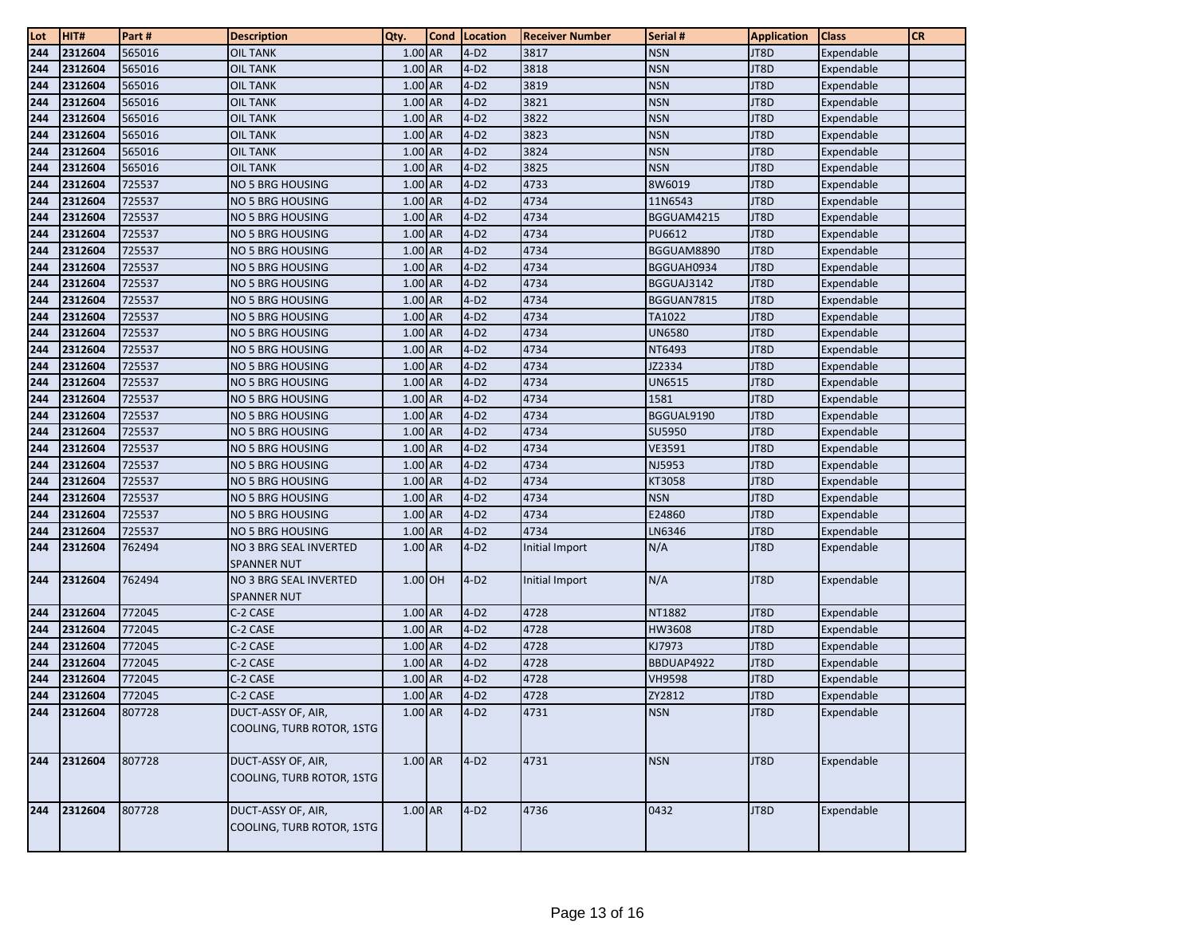| Lot        | HIT#               | Part#            | <b>Description</b>                              | Qty.               | Cond   Location  | <b>Receiver Number</b> | Serial #                    | <b>Application</b> | <b>Class</b>             | <b>CR</b> |
|------------|--------------------|------------------|-------------------------------------------------|--------------------|------------------|------------------------|-----------------------------|--------------------|--------------------------|-----------|
| 244        | 2312604            | 565016           | <b>OIL TANK</b>                                 | 1.00 AR            | $4-D2$           | 3817                   | <b>NSN</b>                  | JT8D               | Expendable               |           |
| 244        | 2312604            | 565016           | <b>OIL TANK</b>                                 | $1.00$ AR          | $4-D2$           | 3818                   | <b>NSN</b>                  | JT8D               | Expendable               |           |
| 244        | 2312604            | 565016           | <b>OIL TANK</b>                                 | 1.00 AR            | $4-D2$           | 3819                   | <b>NSN</b>                  | JT8D               | Expendable               |           |
| 244        | 2312604            | 565016           | <b>OIL TANK</b>                                 | 1.00 AR            | $4-D2$           | 3821                   | <b>NSN</b>                  | JT8D               | Expendable               |           |
| 244        | 2312604            | 565016           | <b>OIL TANK</b>                                 | 1.00 AR            | $4-D2$           | 3822                   | <b>NSN</b>                  | JT8D               | Expendable               |           |
| 244        | 2312604            | 565016           | <b>OIL TANK</b>                                 | $1.00$ AR          | $4-D2$           | 3823                   | <b>NSN</b>                  | JT8D               | Expendable               |           |
| 244        | 2312604            | 565016           | <b>OIL TANK</b>                                 | 1.00 AR            | $4-D2$           | 3824                   | <b>NSN</b>                  | JT8D               | Expendable               |           |
| 244        | 2312604            | 565016           | <b>OIL TANK</b>                                 | 1.00 AR            | $4-D2$           | 3825                   | <b>NSN</b>                  | JT8D               | Expendable               |           |
| 244        | 2312604            | 725537           | NO 5 BRG HOUSING                                | 1.00 AR            | $4-D2$           | 4733                   | 8W6019                      | JT8D               | Expendable               |           |
| 244        | 2312604            | 725537           | <b>NO 5 BRG HOUSING</b>                         | 1.00 AR            | $4-D2$           | 4734                   | 11N6543                     | JT8D               | Expendable               |           |
| 244        | 2312604            | 725537           | <b>NO 5 BRG HOUSING</b>                         | 1.00 AR            | $4-D2$           | 4734                   | BGGUAM4215                  | JT8D               | Expendable               |           |
| 244        | 2312604            | 725537           | NO 5 BRG HOUSING                                | 1.00 AR            | $4-D2$           | 4734                   | PU6612                      | JT8D               | Expendable               |           |
| 244        | 2312604            | 725537           | NO 5 BRG HOUSING                                | 1.00 AR            | $4-D2$           | 4734                   | BGGUAM8890                  | JT8D               | Expendable               |           |
| 244        | 2312604            | 725537           | NO 5 BRG HOUSING                                | 1.00 AR            | $4-D2$           | 4734                   | BGGUAH0934                  | JT8D               | Expendable               |           |
| 244        | 2312604            | 725537           | NO 5 BRG HOUSING                                | 1.00 AR            | $4-D2$           | 4734                   | BGGUAJ3142                  | JT8D               | Expendable               |           |
| 244        | 2312604            | 725537           | NO 5 BRG HOUSING                                | 1.00 AR            | $4-D2$           | 4734                   | BGGUAN7815                  | JT8D               | Expendable               |           |
| 244        | 2312604            | 725537           | NO 5 BRG HOUSING                                | $1.00$ AR          | $4-D2$           | 4734                   | TA1022                      | JT8D               | Expendable               |           |
| 244        | 2312604            | 725537<br>725537 | <b>NO 5 BRG HOUSING</b>                         | 1.00 AR<br>1.00 AR | $4-D2$<br>$4-D2$ | 4734<br>4734           | UN6580                      | JT8D<br>JT8D       | Expendable               |           |
| 244<br>244 | 2312604<br>2312604 | 725537           | NO 5 BRG HOUSING                                | $1.00$ AR          | $4-D2$           | 4734                   | NT6493<br>JZ2334            | JT8D               | Expendable<br>Expendable |           |
| 244        | 2312604            | 725537           | NO 5 BRG HOUSING<br>NO 5 BRG HOUSING            | 1.00 AR            | $4-D2$           | 4734                   | UN6515                      | JT8D               | Expendable               |           |
| 244        | 2312604            | 725537           | <b>NO 5 BRG HOUSING</b>                         | 1.00 AR            | $4-D2$           | 4734                   | 1581                        | JT8D               | Expendable               |           |
| 244        | 2312604            | 725537           | NO 5 BRG HOUSING                                | 1.00 AR            | $4-D2$           | 4734                   | BGGUAL9190                  | JT8D               | Expendable               |           |
| 244        | 2312604            | 725537           | NO 5 BRG HOUSING                                | 1.00 AR            | $4-D2$           | 4734                   | SU5950                      | JT8D               | Expendable               |           |
| 244        | 2312604            | 725537           | <b>NO 5 BRG HOUSING</b>                         | 1.00 AR            | $4-D2$           | 4734                   | <b>VE3591</b>               | JT8D               | Expendable               |           |
| 244        | 2312604            | 725537           | NO 5 BRG HOUSING                                | 1.00 AR            | $4-D2$           | 4734                   | NJ5953                      | JT8D               | Expendable               |           |
| 244        | 2312604            | 725537           | NO 5 BRG HOUSING                                | 1.00 AR            | $4-D2$           | 4734                   | KT3058                      | JT8D               | Expendable               |           |
| 244        | 2312604            | 725537           | NO 5 BRG HOUSING                                | 1.00 AR            | $4-D2$           | 4734                   | <b>NSN</b>                  | JT8D               | Expendable               |           |
| 244        | 2312604            | 725537           | NO 5 BRG HOUSING                                | 1.00 AR            | $4-D2$           | 4734                   | E24860                      | JT8D               | Expendable               |           |
| 244        | 2312604            | 725537           | NO 5 BRG HOUSING                                | 1.00 AR            | $4-D2$           | 4734                   | LN6346                      | JT8D               | Expendable               |           |
| 244        | 2312604            | 762494           | NO 3 BRG SEAL INVERTED                          | 1.00 AR            | $4-D2$           | Initial Import         | N/A                         | JT8D               | Expendable               |           |
|            |                    |                  | <b>SPANNER NUT</b>                              |                    |                  |                        |                             |                    |                          |           |
| 244        | 2312604            | 762494           | NO 3 BRG SEAL INVERTED                          | 1.00 OH            | $4-D2$           | Initial Import         | N/A                         | JT8D               | Expendable               |           |
|            |                    |                  | <b>SPANNER NUT</b>                              |                    |                  |                        |                             |                    |                          |           |
| 244        | 2312604            | 772045           | C-2 CASE                                        | 1.00 AR            | $4-D2$           | 4728                   | NT1882                      | JT8D               | Expendable               |           |
| 244        | 2312604            | 772045           | C-2 CASE                                        | 1.00 AR            | $4-D2$           | 4728                   | HW3608                      | JT8D               | Expendable               |           |
| 244        | 2312604            | 772045           | C-2 CASE                                        | 1.00 AR<br>1.00 AR | $4-D2$           | 4728                   | KJ7973                      | JT8D               | Expendable               |           |
| 244        | 2312604<br>2312604 | 772045<br>772045 | C-2 CASE<br>C-2 CASE                            | 1.00 AR            | $4-D2$<br>$4-D2$ | 4728<br>4728           | BBDUAP4922<br><b>VH9598</b> | JT8D<br>JT8D       | Expendable               |           |
| 244<br>244 | 2312604            | 772045           | C-2 CASE                                        | 1.00 AR            | $4-D2$           | 4728                   | ZY2812                      | JT8D               | Expendable<br>Expendable |           |
| 244        | 2312604            | 807728           | DUCT-ASSY OF, AIR,                              | 1.00 AR            | $4-D2$           | 4731                   | <b>NSN</b>                  | JT8D               | Expendable               |           |
|            |                    |                  | COOLING, TURB ROTOR, 1STG                       |                    |                  |                        |                             |                    |                          |           |
|            |                    |                  |                                                 |                    |                  |                        |                             |                    |                          |           |
| 244        | 2312604            | 807728           | DUCT-ASSY OF, AIR,                              | 1.00 AR            | $4-D2$           | 4731                   | <b>NSN</b>                  | JT8D               | Expendable               |           |
|            |                    |                  | COOLING, TURB ROTOR, 1STG                       |                    |                  |                        |                             |                    |                          |           |
|            |                    |                  |                                                 |                    |                  |                        |                             |                    |                          |           |
| 244        | 2312604            | 807728           | DUCT-ASSY OF, AIR,<br>COOLING, TURB ROTOR, 1STG | $1.00$ AR          | $4-D2$           | 4736                   | 0432                        | JT8D               | Expendable               |           |
|            |                    |                  |                                                 |                    |                  |                        |                             |                    |                          |           |
|            |                    |                  |                                                 |                    |                  |                        |                             |                    |                          |           |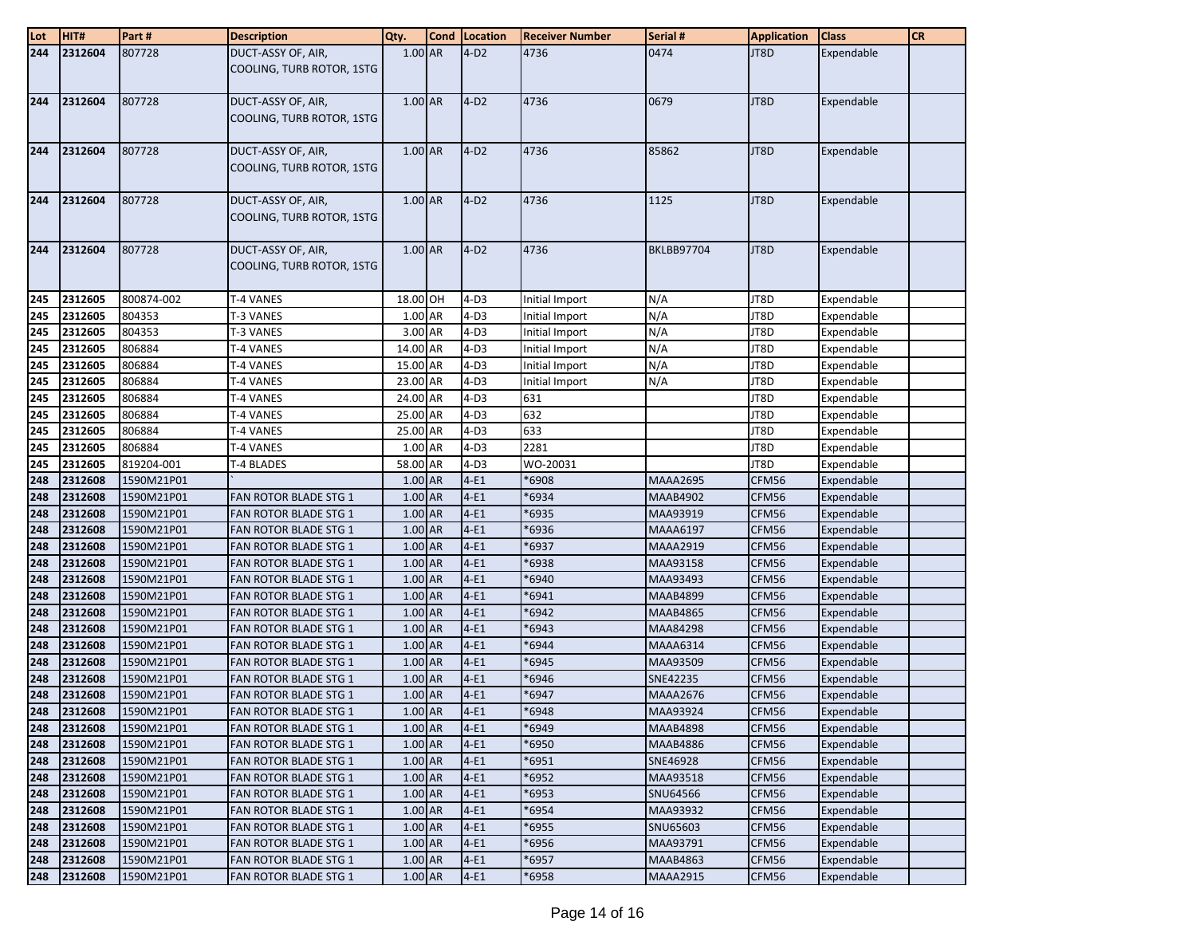| Lot        | HIT#               | Part#                    | <b>Description</b>                              | Qty.               | <b>Cond Location</b> | <b>Receiver Number</b> | Serial #                    | <b>Application</b> | <b>Class</b>             | <b>CR</b> |
|------------|--------------------|--------------------------|-------------------------------------------------|--------------------|----------------------|------------------------|-----------------------------|--------------------|--------------------------|-----------|
| 244        | 2312604            | 807728                   | DUCT-ASSY OF, AIR,<br>COOLING, TURB ROTOR, 1STG | $1.00$ AR          | $4-D2$               | 4736                   | 0474                        | JT8D               | Expendable               |           |
| 244        | 2312604            | 807728                   | DUCT-ASSY OF, AIR,<br>COOLING, TURB ROTOR, 1STG | 1.00 AR            | $4-D2$               | 4736                   | 0679                        | JT8D               | Expendable               |           |
| 244        | 2312604            | 807728                   | DUCT-ASSY OF, AIR,<br>COOLING, TURB ROTOR, 1STG | 1.00 AR            | $4-D2$               | 4736                   | 85862                       | JT8D               | Expendable               |           |
| 244        | 2312604            | 807728                   | DUCT-ASSY OF, AIR,<br>COOLING, TURB ROTOR, 1STG | 1.00 AR            | $4-D2$               | 4736                   | 1125                        | JT8D               | Expendable               |           |
| 244        | 2312604            | 807728                   | DUCT-ASSY OF, AIR,<br>COOLING, TURB ROTOR, 1STG | 1.00 AR            | $4-D2$               | 4736                   | <b>BKLBB97704</b>           | JT8D               | Expendable               |           |
| 245        | 2312605            | 800874-002               | T-4 VANES                                       | 18.00 OH           | $4-D3$               | Initial Import         | N/A                         | JT8D               | Expendable               |           |
| 245        | 2312605            | 804353                   | T-3 VANES                                       | 1.00 AR            | $4-D3$               | Initial Import         | N/A                         | JT8D               | Expendable               |           |
| 245        | 2312605            | 804353                   | T-3 VANES                                       | 3.00 AR            | $4-D3$               | Initial Import         | N/A                         | JT8D               | Expendable               |           |
| 245        | 2312605            | 806884                   | T-4 VANES                                       | 14.00 AR           | $4-D3$               | Initial Import         | N/A                         | JT8D               | Expendable               |           |
| 245        | 2312605            | 806884                   | T-4 VANES                                       | 15.00 AR           | $4-D3$               | Initial Import         | N/A                         | JT8D               | Expendable               |           |
| 245        | 2312605            | 806884                   | T-4 VANES                                       | 23.00 AR           | $4-D3$               | Initial Import         | N/A                         | JT8D               | Expendable               |           |
| 245        | 2312605            | 806884                   | T-4 VANES                                       | 24.00 AR           | $4-D3$               | 631                    |                             | JT8D               | Expendable               |           |
| 245        | 2312605            | 806884                   | T-4 VANES                                       | 25.00 AR           | $4-D3$               | 632                    |                             | JT8D               | Expendable               |           |
| 245        | 2312605            | 806884                   | T-4 VANES                                       | 25.00 AR           | $4-D3$               | 633                    |                             | JT8D               | Expendable               |           |
| 245        | 2312605            | 806884                   | T-4 VANES                                       | 1.00 AR            | $4-D3$               | 2281                   |                             | JT8D               | Expendable               |           |
| 245        | 2312605            | 819204-001               | T-4 BLADES                                      | 58.00 AR           | $4-D3$               | WO-20031               |                             | JT8D               | Expendable               |           |
| 248        | 2312608<br>2312608 | 1590M21P01               |                                                 | 1.00 AR<br>1.00 AR | $4-E1$<br>$4-E1$     | *6908                  | <b>MAAA2695</b>             | CFM56              | Expendable               |           |
| 248<br>248 | 2312608            | 1590M21P01<br>1590M21P01 | FAN ROTOR BLADE STG 1<br>FAN ROTOR BLADE STG 1  | 1.00 AR            | $4-E1$               | 6934<br>6935           | <b>MAAB4902</b><br>MAA93919 | CFM56<br>CFM56     | Expendable<br>Expendable |           |
| 248        | 2312608            | 1590M21P01               | <b>FAN ROTOR BLADE STG 1</b>                    | 1.00 AR            | $4-E1$               | 6936*                  | <b>MAAA6197</b>             | CFM56              | Expendable               |           |
| 248        | 2312608            | 1590M21P01               | <b>FAN ROTOR BLADE STG 1</b>                    | 1.00 AR            | $4-E1$               | 6937                   | <b>MAAA2919</b>             | CFM56              | Expendable               |           |
| 248        | 2312608            | 1590M21P01               | <b>FAN ROTOR BLADE STG 1</b>                    | 1.00 AR            | $4-E1$               | 6938*                  | MAA93158                    | CFM56              | Expendable               |           |
| 248        | 2312608            | 1590M21P01               | FAN ROTOR BLADE STG 1                           | 1.00 AR            | $4-E1$               | 6940                   | MAA93493                    | CFM56              | Expendable               |           |
| 248        | 2312608            | 1590M21P01               | <b>FAN ROTOR BLADE STG 1</b>                    | 1.00 AR            | $4-E1$               | 6941                   | <b>MAAB4899</b>             | CFM56              | Expendable               |           |
| 248        | 2312608            | 1590M21P01               | <b>FAN ROTOR BLADE STG 1</b>                    | 1.00 AR            | $4-E1$               | 6942                   | <b>MAAB4865</b>             | CFM56              | Expendable               |           |
| 248        | 2312608            | 1590M21P01               | <b>FAN ROTOR BLADE STG 1</b>                    | 1.00 AR            | $4-E1$               | 6943                   | MAA84298                    | CFM56              | Expendable               |           |
| 248        | 2312608            | 1590M21P01               | FAN ROTOR BLADE STG 1                           | 1.00 AR            | $4-E1$               | 6944                   | <b>MAAA6314</b>             | CFM56              | Expendable               |           |
| 248        | 2312608            | 1590M21P01               | FAN ROTOR BLADE STG 1                           | 1.00 AR            | $4-E1$               | 6945                   | MAA93509                    | CFM56              | Expendable               |           |
| 248        | 2312608            | 1590M21P01               | FAN ROTOR BLADE STG 1                           | 1.00 AR            | $4-E1$               | 6946                   | SNE42235                    | CFM56              | Expendable               |           |
| 248        | 2312608            | 1590M21P01               | <b>FAN ROTOR BLADE STG 1</b>                    | 1.00 AR            | $4-E1$               | 6947                   | <b>MAAA2676</b>             | CFM56              | Expendable               |           |
| 248        | 2312608            | 1590M21P01               | <b>FAN ROTOR BLADE STG 1</b>                    | 1.00 AR            | $4-E1$               | 6948'                  | MAA93924                    | CFM56              | Expendable               |           |
| 248        | 2312608            | 1590M21P01               | <b>FAN ROTOR BLADE STG 1</b>                    | 1.00 AR            | $4-E1$               | 6949'                  | <b>MAAB4898</b>             | CFM56              | Expendable               |           |
| 248        | 2312608            | 1590M21P01               | FAN ROTOR BLADE STG 1                           | 1.00 AR            | $4-E1$               | 6950                   | <b>MAAB4886</b>             | CFM56              | Expendable               |           |
| 248        | 2312608            | 1590M21P01               | FAN ROTOR BLADE STG 1                           | 1.00 AR            | $4-E1$               | 6951                   | SNE46928                    | CFM56              | Expendable               |           |
| 248        | 2312608            | 1590M21P01               | FAN ROTOR BLADE STG 1                           | 1.00 AR            | $4-E1$               | \$6952                 | MAA93518                    | CFM56              | Expendable               |           |
| 248        | 2312608            | 1590M21P01               | FAN ROTOR BLADE STG 1                           | 1.00 AR            | $4-E1$               | 5953'                  | SNU64566                    | CFM56              | Expendable               |           |
| 248        | 2312608            | 1590M21P01               | FAN ROTOR BLADE STG 1                           | 1.00 AR            | $4-E1$               | 6954                   | MAA93932                    | CFM56              | Expendable               |           |
| 248        | 2312608            | 1590M21P01               | <b>FAN ROTOR BLADE STG 1</b>                    | 1.00 AR            | $4-E1$               | 6955                   | SNU65603                    | CFM56              | Expendable               |           |
| 248        | 2312608<br>2312608 | 1590M21P01               | FAN ROTOR BLADE STG 1                           | 1.00 AR            | $4-E1$               | 6956                   | MAA93791                    | CFM56              | Expendable<br>Expendable |           |
| 248        |                    | 1590M21P01               | FAN ROTOR BLADE STG 1                           | 1.00 AR            | $4-E1$               | 6957                   | <b>MAAB4863</b>             | CFM56              |                          |           |
| 248        | 2312608            | 1590M21P01               | <b>FAN ROTOR BLADE STG 1</b>                    | 1.00 AR            | $4-E1$               | 8595'                  | <b>MAAA2915</b>             | CFM56              | Expendable               |           |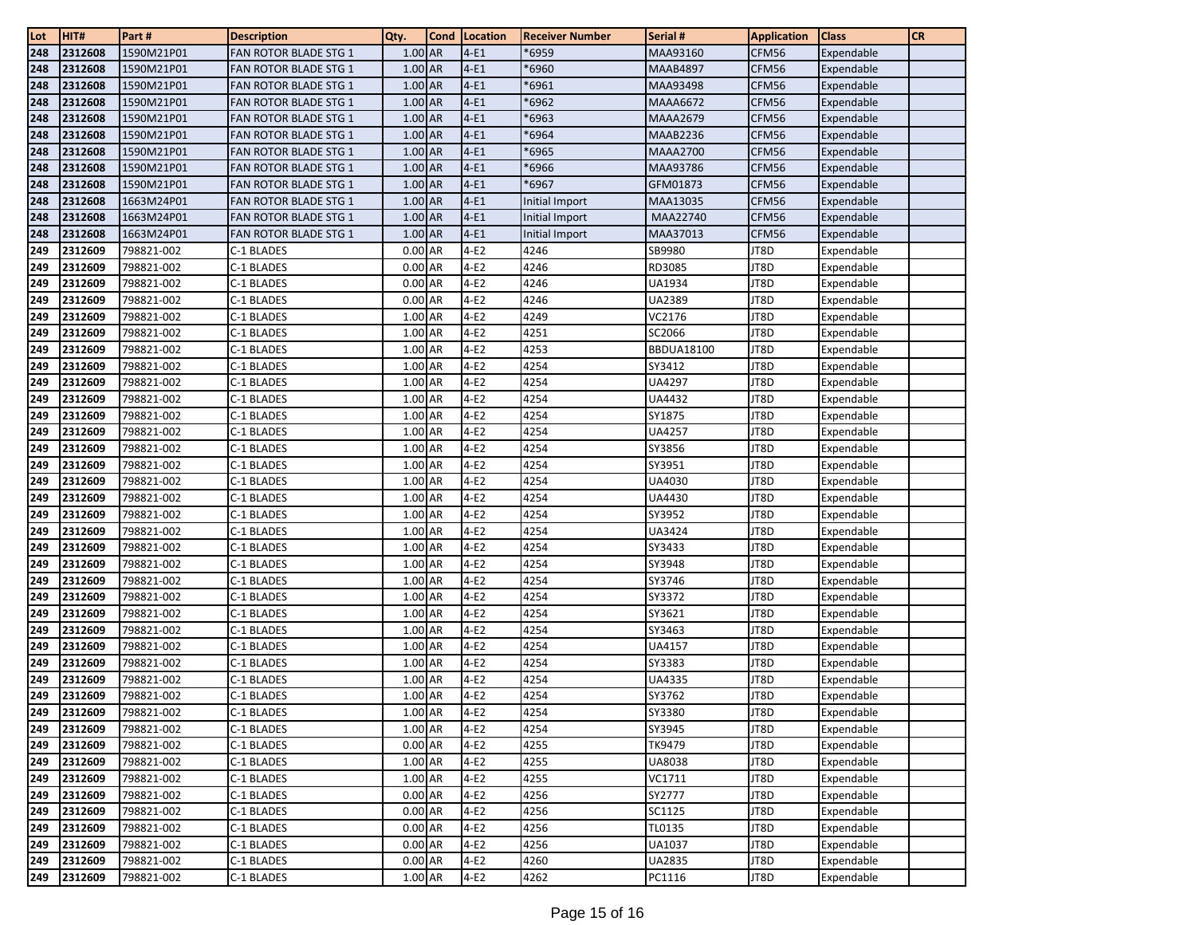| Lot        | HIT#               | Part#                    | <b>Description</b>           | Qty.                 | <b>Cond</b> | Location         | <b>Receiver Number</b> | Serial #          | <b>Application</b> | <b>Class</b>             | <b>CR</b> |
|------------|--------------------|--------------------------|------------------------------|----------------------|-------------|------------------|------------------------|-------------------|--------------------|--------------------------|-----------|
| 248        | 2312608            | 1590M21P01               | FAN ROTOR BLADE STG 1        | 1.00 AR              |             | $4-E1$           | 6959*                  | MAA93160          | CFM56              | Expendable               |           |
| 248        | 2312608            | 1590M21P01               | <b>FAN ROTOR BLADE STG 1</b> | 1.00 AR              |             | $4-E1$           | 6960*                  | <b>MAAB4897</b>   | CFM56              | Expendable               |           |
| 248        | 2312608            | 1590M21P01               | <b>FAN ROTOR BLADE STG 1</b> | 1.00 AR              |             | $4-E1$           | 6961                   | MAA93498          | CFM56              | Expendable               |           |
| 248        | 2312608            | 1590M21P01               | FAN ROTOR BLADE STG 1        | 1.00 AR              |             | $4-E1$           | *6962                  | MAAA6672          | CFM56              | Expendable               |           |
| 248        | 2312608            | 1590M21P01               | <b>FAN ROTOR BLADE STG 1</b> | 1.00 AR              |             | $4-E1$           | 6963                   | <b>MAAA2679</b>   | CFM56              | Expendable               |           |
| 248        | 2312608            | 1590M21P01               | <b>FAN ROTOR BLADE STG 1</b> | 1.00 AR              |             | $4-E1$           | 6964*                  | MAAB2236          | CFM56              | Expendable               |           |
| 248        | 2312608            | 1590M21P01               | <b>FAN ROTOR BLADE STG 1</b> | 1.00 AR              |             | $4-E1$           | \$6965                 | <b>MAAA2700</b>   | CFM56              | Expendable               |           |
| 248        | 2312608            | 1590M21P01               | <b>FAN ROTOR BLADE STG 1</b> | 1.00 AR              |             | $4-E1$           | 6966*                  | MAA93786          | CFM56              | Expendable               |           |
| 248        | 2312608            | 1590M21P01               | <b>FAN ROTOR BLADE STG 1</b> | 1.00 AR              |             | $4-E1$           | 6967                   | GFM01873          | CFM56              | Expendable               |           |
| 248        | 2312608            | 1663M24P01               | FAN ROTOR BLADE STG 1        | 1.00 AR              |             | $4-E1$           | Initial Import         | MAA13035          | CFM56              | Expendable               |           |
| 248        | 2312608            | 1663M24P01               | FAN ROTOR BLADE STG 1        | 1.00 AR              |             | $4-E1$           | Initial Import         | MAA22740          | CFM56              | Expendable               |           |
| 248        | 2312608            | 1663M24P01               | <b>FAN ROTOR BLADE STG 1</b> | $1.00$ AR            |             | $4-E1$           | Initial Import         | MAA37013          | CFM56              | Expendable               |           |
| 249        | 2312609            | 798821-002               | C-1 BLADES                   | 0.00 AR              |             | $4-E2$           | 4246                   | SB9980            | JT8D               | Expendable               |           |
| 249        | 2312609            | 798821-002               | C-1 BLADES                   | 0.00 AR              |             | $4-E2$           | 4246                   | RD3085            | JT8D               | Expendable               |           |
| 249        | 2312609            | 798821-002               | C-1 BLADES                   | 0.00 AR              |             | $4-E2$           | 4246                   | UA1934            | JT8D               | Expendable               |           |
| 249        | 2312609            | 798821-002               | C-1 BLADES                   | 0.00 AR              |             | $4-E2$           | 4246                   | UA2389            | JT8D               | Expendable               |           |
| 249        | 2312609            | 798821-002               | C-1 BLADES                   | 1.00 AR              |             | $4-E2$           | 4249                   | VC2176            | JT8D               | Expendable               |           |
| 249        | 2312609            | 798821-002               | C-1 BLADES                   | 1.00 AR              |             | $4-E2$           | 4251                   | SC2066            | JT8D               | Expendable               |           |
| 249        | 2312609            | 798821-002               | C-1 BLADES                   | 1.00 AR              |             | $4-E2$           | 4253                   | <b>BBDUA18100</b> | JT8D               | Expendable               |           |
| 249        | 2312609            | 798821-002               | C-1 BLADES                   | 1.00 AR              |             | $4-E2$           | 4254                   | SY3412            | JT8D               | Expendable               |           |
| 249        | 2312609            | 798821-002               | C-1 BLADES                   | 1.00 AR              |             | $4-E2$           | 4254                   | UA4297            | JT8D               | Expendable               |           |
| 249        | 2312609            | 798821-002               | C-1 BLADES                   | 1.00 AR              |             | $4-E2$           | 4254                   | UA4432            | JT8D               | Expendable               |           |
| 249        | 2312609            | 798821-002               | C-1 BLADES                   | 1.00 AR              |             | $4-E2$           | 4254                   | SY1875            | JT8D               | Expendable               |           |
| 249        | 2312609            | 798821-002               | C-1 BLADES                   | 1.00 AR              |             | $4-E2$           | 4254                   | <b>UA4257</b>     | JT8D               | Expendable               |           |
| 249        | 2312609            | 798821-002               | C-1 BLADES                   | 1.00 AR              |             | $4-E2$           | 4254                   | SY3856            | JT8D               | Expendable               |           |
| 249        | 2312609            | 798821-002               | C-1 BLADES                   | 1.00 AR              |             | $4-E2$           | 4254                   | SY3951            | JT8D               | Expendable               |           |
| 249        | 2312609            | 798821-002               | C-1 BLADES                   | 1.00 AR              |             | $4-E2$           | 4254                   | UA4030            | JT8D               | Expendable               |           |
| 249        | 2312609            | 798821-002               | C-1 BLADES                   | 1.00 AR              |             | $4-E2$           | 4254                   | UA4430            | JT8D               | Expendable               |           |
| 249        | 2312609            | 798821-002               | C-1 BLADES                   | 1.00 AR              |             | $4-E2$           | 4254                   | SY3952            | JT8D               | Expendable               |           |
| 249        | 2312609            | 798821-002               | C-1 BLADES                   | 1.00 AR              |             | $4-E2$           | 4254                   | UA3424            | JT8D               | Expendable               |           |
| 249        | 2312609            | 798821-002               | C-1 BLADES                   | 1.00 AR              |             | $4-E2$           | 4254                   | SY3433            | JT8D               | Expendable               |           |
| 249        | 2312609            | 798821-002               | C-1 BLADES                   | 1.00 AR              |             | $4-E2$           | 4254                   | SY3948            | JT8D               | Expendable               |           |
| 249        | 2312609            | 798821-002               | C-1 BLADES                   | 1.00 AR              |             | $4-E2$           | 4254                   | SY3746            | JT8D               | Expendable               |           |
| 249        | 2312609            | 798821-002               | C-1 BLADES                   | 1.00 AR              |             | $4-E2$           | 4254                   | SY3372            | JT8D               | Expendable               |           |
| 249        | 2312609            | 798821-002               | C-1 BLADES                   | 1.00 AR              |             | $4-E2$           | 4254                   | SY3621            | JT8D               | Expendable               |           |
| 249        | 2312609            | 798821-002               | C-1 BLADES                   | 1.00 AR              |             | $4-E2$           | 4254                   | SY3463            | JT8D               | Expendable               |           |
| 249        | 2312609            | 798821-002               | C-1 BLADES                   | 1.00 AR              |             | $4-E2$           | 4254                   | UA4157            | JT8D               | Expendable               |           |
| 249        | 2312609            | 798821-002               | C-1 BLADES                   | 1.00 AR              |             | $4-E2$           | 4254                   | SY3383            | JT8D               | Expendable               |           |
| 249        | 2312609            | 798821-002               | C-1 BLADES                   | 1.00 AR              |             | $4-E2$           | 4254                   | UA4335            | JT8D               | Expendable               |           |
| 249        | 2312609            | 798821-002               | C-1 BLADES                   | 1.00 AR              |             | $4-E2$           | 4254                   | SY3762            | JT8D               | Expendable               |           |
| 249        | 2312609            | 798821-002               | C-1 BLADES                   | 1.00 AR<br>1.00 AR   |             | $4-E2$           | 4254<br>4254           | SY3380            | JT8D               | Expendable<br>Expendable |           |
| 249        | 2312609            | 798821-002               | C-1 BLADES                   |                      |             | $4-E2$           |                        | SY3945            | JT8D               |                          |           |
| 249        | 2312609            | 798821-002               | C-1 BLADES                   | 0.00 AR              |             | $4-E2$           | 4255                   | TK9479            | JT8D               | Expendable               |           |
| 249        | 2312609            | 798821-002               | C-1 BLADES                   | 1.00 AR              |             | $4-E2$           | 4255                   | UA8038            | JT8D               | Expendable               |           |
| 249        | 2312609<br>2312609 | 798821-002               | C-1 BLADES<br>C-1 BLADES     | 1.00 AR              |             | $4-E2$<br>$4-E2$ | 4255                   | VC1711<br>SY2777  | JT8D               | Expendable               |           |
| 249        | 2312609            | 798821-002               | C-1 BLADES                   | 0.00 AR              |             | $4-E2$           | 4256<br>4256           | SC1125            | JT8D<br>JT8D       | Expendable               |           |
| 249<br>249 | 2312609            | 798821-002<br>798821-002 | C-1 BLADES                   | $0.00$ AR<br>0.00 AR |             | $4-E2$           | 4256                   | TL0135            | JT8D               | Expendable<br>Expendable |           |
| 249        | 2312609            | 798821-002               | C-1 BLADES                   | 0.00 AR              |             | $4-E2$           | 4256                   | UA1037            | JT8D               | Expendable               |           |
| 249        | 2312609            | 798821-002               | C-1 BLADES                   | $0.00$ AR            |             | $4-E2$           | 4260                   | UA2835            | JT8D               | Expendable               |           |
| 249        | 2312609            | 798821-002               | C-1 BLADES                   | 1.00 AR              |             | $4-E2$           | 4262                   | PC1116            | JT8D               | Expendable               |           |
|            |                    |                          |                              |                      |             |                  |                        |                   |                    |                          |           |